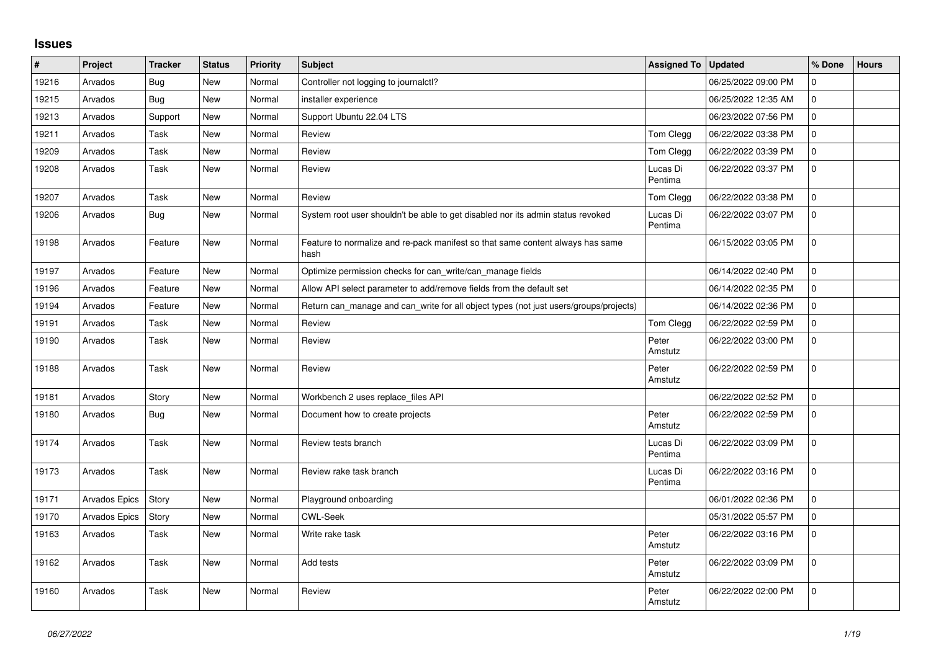## **Issues**

| $\pmb{\#}$ | Project       | <b>Tracker</b> | <b>Status</b> | Priority | <b>Subject</b>                                                                         | <b>Assigned To</b>  | <b>Updated</b>      | % Done       | <b>Hours</b> |
|------------|---------------|----------------|---------------|----------|----------------------------------------------------------------------------------------|---------------------|---------------------|--------------|--------------|
| 19216      | Arvados       | Bug            | <b>New</b>    | Normal   | Controller not logging to journalctl?                                                  |                     | 06/25/2022 09:00 PM | $\mathbf 0$  |              |
| 19215      | Arvados       | Bug            | <b>New</b>    | Normal   | installer experience                                                                   |                     | 06/25/2022 12:35 AM | $\mathbf 0$  |              |
| 19213      | Arvados       | Support        | <b>New</b>    | Normal   | Support Ubuntu 22.04 LTS                                                               |                     | 06/23/2022 07:56 PM | $\mathbf 0$  |              |
| 19211      | Arvados       | Task           | New           | Normal   | Review                                                                                 | Tom Clegg           | 06/22/2022 03:38 PM | $\mathbf 0$  |              |
| 19209      | Arvados       | Task           | <b>New</b>    | Normal   | Review                                                                                 | Tom Clegg           | 06/22/2022 03:39 PM | $\mathbf 0$  |              |
| 19208      | Arvados       | Task           | New           | Normal   | Review                                                                                 | Lucas Di<br>Pentima | 06/22/2022 03:37 PM | $\mathbf 0$  |              |
| 19207      | Arvados       | Task           | <b>New</b>    | Normal   | Review                                                                                 | Tom Clegg           | 06/22/2022 03:38 PM | $\mathbf 0$  |              |
| 19206      | Arvados       | Bug            | New           | Normal   | System root user shouldn't be able to get disabled nor its admin status revoked        | Lucas Di<br>Pentima | 06/22/2022 03:07 PM | $\Omega$     |              |
| 19198      | Arvados       | Feature        | <b>New</b>    | Normal   | Feature to normalize and re-pack manifest so that same content always has same<br>hash |                     | 06/15/2022 03:05 PM | $\mathbf 0$  |              |
| 19197      | Arvados       | Feature        | <b>New</b>    | Normal   | Optimize permission checks for can_write/can_manage fields                             |                     | 06/14/2022 02:40 PM | $\mathbf 0$  |              |
| 19196      | Arvados       | Feature        | <b>New</b>    | Normal   | Allow API select parameter to add/remove fields from the default set                   |                     | 06/14/2022 02:35 PM | $\mathbf 0$  |              |
| 19194      | Arvados       | Feature        | New           | Normal   | Return can_manage and can_write for all object types (not just users/groups/projects)  |                     | 06/14/2022 02:36 PM | $\mathbf 0$  |              |
| 19191      | Arvados       | Task           | <b>New</b>    | Normal   | Review                                                                                 | Tom Clegg           | 06/22/2022 02:59 PM | $\mathbf 0$  |              |
| 19190      | Arvados       | Task           | New           | Normal   | Review                                                                                 | Peter<br>Amstutz    | 06/22/2022 03:00 PM | $\mathbf 0$  |              |
| 19188      | Arvados       | Task           | <b>New</b>    | Normal   | Review                                                                                 | Peter<br>Amstutz    | 06/22/2022 02:59 PM | $\mathbf 0$  |              |
| 19181      | Arvados       | Story          | New           | Normal   | Workbench 2 uses replace files API                                                     |                     | 06/22/2022 02:52 PM | $\mathbf{0}$ |              |
| 19180      | Arvados       | <b>Bug</b>     | <b>New</b>    | Normal   | Document how to create projects                                                        | Peter<br>Amstutz    | 06/22/2022 02:59 PM | $\Omega$     |              |
| 19174      | Arvados       | Task           | <b>New</b>    | Normal   | Review tests branch                                                                    | Lucas Di<br>Pentima | 06/22/2022 03:09 PM | $\mathbf 0$  |              |
| 19173      | Arvados       | Task           | New           | Normal   | Review rake task branch                                                                | Lucas Di<br>Pentima | 06/22/2022 03:16 PM | $\Omega$     |              |
| 19171      | Arvados Epics | Story          | <b>New</b>    | Normal   | Playground onboarding                                                                  |                     | 06/01/2022 02:36 PM | $\mathbf 0$  |              |
| 19170      | Arvados Epics | Story          | <b>New</b>    | Normal   | <b>CWL-Seek</b>                                                                        |                     | 05/31/2022 05:57 PM | $\mathbf 0$  |              |
| 19163      | Arvados       | Task           | New           | Normal   | Write rake task                                                                        | Peter<br>Amstutz    | 06/22/2022 03:16 PM | $\mathbf 0$  |              |
| 19162      | Arvados       | Task           | <b>New</b>    | Normal   | Add tests                                                                              | Peter<br>Amstutz    | 06/22/2022 03:09 PM | $\Omega$     |              |
| 19160      | Arvados       | Task           | <b>New</b>    | Normal   | Review                                                                                 | Peter<br>Amstutz    | 06/22/2022 02:00 PM | $\mathbf 0$  |              |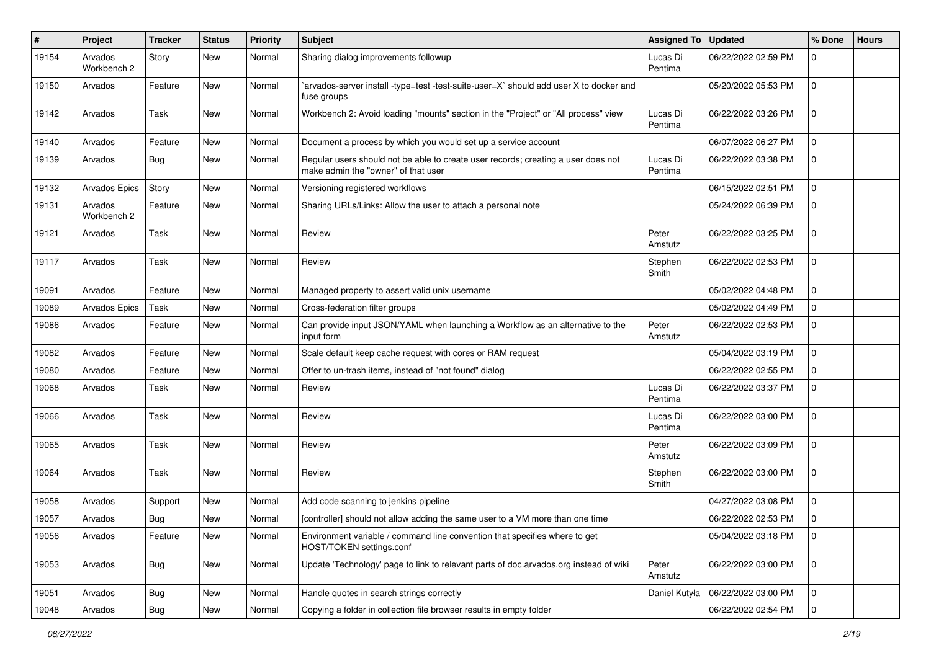| #     | Project                | <b>Tracker</b> | <b>Status</b> | <b>Priority</b> | Subject                                                                                                                  | Assigned To         | <b>Updated</b>      | % Done              | <b>Hours</b> |
|-------|------------------------|----------------|---------------|-----------------|--------------------------------------------------------------------------------------------------------------------------|---------------------|---------------------|---------------------|--------------|
| 19154 | Arvados<br>Workbench 2 | Story          | New           | Normal          | Sharing dialog improvements followup                                                                                     | Lucas Di<br>Pentima | 06/22/2022 02:59 PM | 0                   |              |
| 19150 | Arvados                | Feature        | New           | Normal          | arvados-server install -type=test -test-suite-user=X` should add user X to docker and<br>fuse groups                     |                     | 05/20/2022 05:53 PM | 0                   |              |
| 19142 | Arvados                | Task           | <b>New</b>    | Normal          | Workbench 2: Avoid loading "mounts" section in the "Project" or "All process" view                                       | Lucas Di<br>Pentima | 06/22/2022 03:26 PM | 0                   |              |
| 19140 | Arvados                | Feature        | <b>New</b>    | Normal          | Document a process by which you would set up a service account                                                           |                     | 06/07/2022 06:27 PM | $\mathbf 0$         |              |
| 19139 | Arvados                | Bug            | New           | Normal          | Regular users should not be able to create user records; creating a user does not<br>make admin the "owner" of that user | Lucas Di<br>Pentima | 06/22/2022 03:38 PM | 0                   |              |
| 19132 | Arvados Epics          | Story          | <b>New</b>    | Normal          | Versioning registered workflows                                                                                          |                     | 06/15/2022 02:51 PM | 0                   |              |
| 19131 | Arvados<br>Workbench 2 | Feature        | New           | Normal          | Sharing URLs/Links: Allow the user to attach a personal note                                                             |                     | 05/24/2022 06:39 PM | 0                   |              |
| 19121 | Arvados                | Task           | <b>New</b>    | Normal          | Review                                                                                                                   | Peter<br>Amstutz    | 06/22/2022 03:25 PM | 0                   |              |
| 19117 | Arvados                | Task           | <b>New</b>    | Normal          | Review                                                                                                                   | Stephen<br>Smith    | 06/22/2022 02:53 PM | 0                   |              |
| 19091 | Arvados                | Feature        | <b>New</b>    | Normal          | Managed property to assert valid unix username                                                                           |                     | 05/02/2022 04:48 PM | $\mathbf 0$         |              |
| 19089 | <b>Arvados Epics</b>   | Task           | <b>New</b>    | Normal          | Cross-federation filter groups                                                                                           |                     | 05/02/2022 04:49 PM | 0                   |              |
| 19086 | Arvados                | Feature        | New           | Normal          | Can provide input JSON/YAML when launching a Workflow as an alternative to the<br>input form                             | Peter<br>Amstutz    | 06/22/2022 02:53 PM | 0                   |              |
| 19082 | Arvados                | Feature        | <b>New</b>    | Normal          | Scale default keep cache request with cores or RAM request                                                               |                     | 05/04/2022 03:19 PM | 0                   |              |
| 19080 | Arvados                | Feature        | <b>New</b>    | Normal          | Offer to un-trash items, instead of "not found" dialog                                                                   |                     | 06/22/2022 02:55 PM | 0                   |              |
| 19068 | Arvados                | Task           | New           | Normal          | Review                                                                                                                   | Lucas Di<br>Pentima | 06/22/2022 03:37 PM | $\mathbf 0$         |              |
| 19066 | Arvados                | Task           | New           | Normal          | Review                                                                                                                   | Lucas Di<br>Pentima | 06/22/2022 03:00 PM | 0                   |              |
| 19065 | Arvados                | Task           | <b>New</b>    | Normal          | Review                                                                                                                   | Peter<br>Amstutz    | 06/22/2022 03:09 PM | 0                   |              |
| 19064 | Arvados                | Task           | <b>New</b>    | Normal          | Review                                                                                                                   | Stephen<br>Smith    | 06/22/2022 03:00 PM | 0                   |              |
| 19058 | Arvados                | Support        | <b>New</b>    | Normal          | Add code scanning to jenkins pipeline                                                                                    |                     | 04/27/2022 03:08 PM | 0                   |              |
| 19057 | Arvados                | <b>Bug</b>     | <b>New</b>    | Normal          | [controller] should not allow adding the same user to a VM more than one time                                            |                     | 06/22/2022 02:53 PM | $\mathbf 0$         |              |
| 19056 | Arvados                | Feature        | New           | Normal          | Environment variable / command line convention that specifies where to get<br>HOST/TOKEN settings.conf                   |                     | 05/04/2022 03:18 PM | 0                   |              |
| 19053 | Arvados                | Bug            | New           | Normal          | Update 'Technology' page to link to relevant parts of doc.arvados.org instead of wiki                                    | Peter<br>Amstutz    | 06/22/2022 03:00 PM | $\mathsf{O}\xspace$ |              |
| 19051 | Arvados                | <b>Bug</b>     | <b>New</b>    | Normal          | Handle quotes in search strings correctly                                                                                | Daniel Kutyła       | 06/22/2022 03:00 PM | $\mathbf 0$         |              |
| 19048 | Arvados                | Bug            | New           | Normal          | Copying a folder in collection file browser results in empty folder                                                      |                     | 06/22/2022 02:54 PM | $\overline{0}$      |              |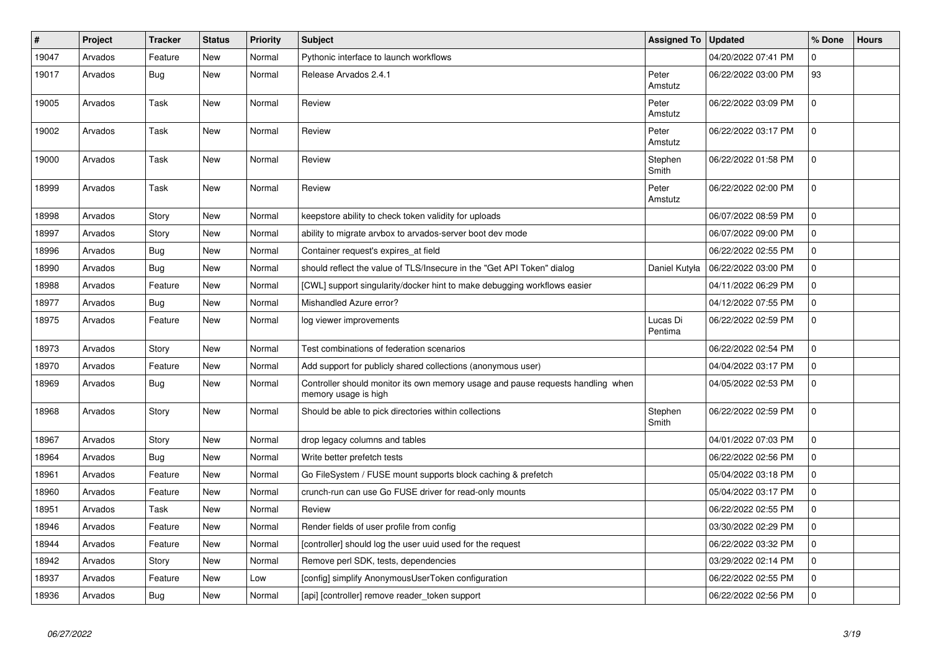| #     | Project | <b>Tracker</b> | <b>Status</b> | <b>Priority</b> | <b>Subject</b>                                                                                          | <b>Assigned To</b>  | <b>Updated</b>      | % Done       | <b>Hours</b> |
|-------|---------|----------------|---------------|-----------------|---------------------------------------------------------------------------------------------------------|---------------------|---------------------|--------------|--------------|
| 19047 | Arvados | Feature        | <b>New</b>    | Normal          | Pythonic interface to launch workflows                                                                  |                     | 04/20/2022 07:41 PM | $\Omega$     |              |
| 19017 | Arvados | Bug            | <b>New</b>    | Normal          | Release Arvados 2.4.1                                                                                   | Peter<br>Amstutz    | 06/22/2022 03:00 PM | 93           |              |
| 19005 | Arvados | Task           | <b>New</b>    | Normal          | Review                                                                                                  | Peter<br>Amstutz    | 06/22/2022 03:09 PM | $\mathbf 0$  |              |
| 19002 | Arvados | Task           | <b>New</b>    | Normal          | Review                                                                                                  | Peter<br>Amstutz    | 06/22/2022 03:17 PM | $\mathbf{0}$ |              |
| 19000 | Arvados | Task           | <b>New</b>    | Normal          | Review                                                                                                  | Stephen<br>Smith    | 06/22/2022 01:58 PM | $\mathbf 0$  |              |
| 18999 | Arvados | Task           | <b>New</b>    | Normal          | Review                                                                                                  | Peter<br>Amstutz    | 06/22/2022 02:00 PM | $\mathbf 0$  |              |
| 18998 | Arvados | Story          | <b>New</b>    | Normal          | keepstore ability to check token validity for uploads                                                   |                     | 06/07/2022 08:59 PM | $\Omega$     |              |
| 18997 | Arvados | Story          | <b>New</b>    | Normal          | ability to migrate arvbox to arvados-server boot dev mode                                               |                     | 06/07/2022 09:00 PM | $\mathbf 0$  |              |
| 18996 | Arvados | <b>Bug</b>     | <b>New</b>    | Normal          | Container request's expires at field                                                                    |                     | 06/22/2022 02:55 PM | $\mathbf 0$  |              |
| 18990 | Arvados | Bug            | <b>New</b>    | Normal          | should reflect the value of TLS/Insecure in the "Get API Token" dialog                                  | Daniel Kutyła       | 06/22/2022 03:00 PM | $\mathbf 0$  |              |
| 18988 | Arvados | Feature        | <b>New</b>    | Normal          | [CWL] support singularity/docker hint to make debugging workflows easier                                |                     | 04/11/2022 06:29 PM | $\mathbf 0$  |              |
| 18977 | Arvados | <b>Bug</b>     | <b>New</b>    | Normal          | Mishandled Azure error?                                                                                 |                     | 04/12/2022 07:55 PM | $\mathbf 0$  |              |
| 18975 | Arvados | Feature        | <b>New</b>    | Normal          | log viewer improvements                                                                                 | Lucas Di<br>Pentima | 06/22/2022 02:59 PM | $\mathbf 0$  |              |
| 18973 | Arvados | Story          | <b>New</b>    | Normal          | Test combinations of federation scenarios                                                               |                     | 06/22/2022 02:54 PM | $\mathbf 0$  |              |
| 18970 | Arvados | Feature        | <b>New</b>    | Normal          | Add support for publicly shared collections (anonymous user)                                            |                     | 04/04/2022 03:17 PM | $\mathbf 0$  |              |
| 18969 | Arvados | Bug            | <b>New</b>    | Normal          | Controller should monitor its own memory usage and pause requests handling when<br>memory usage is high |                     | 04/05/2022 02:53 PM | $\mathbf 0$  |              |
| 18968 | Arvados | Story          | <b>New</b>    | Normal          | Should be able to pick directories within collections                                                   | Stephen<br>Smith    | 06/22/2022 02:59 PM | $\mathbf 0$  |              |
| 18967 | Arvados | Story          | <b>New</b>    | Normal          | drop legacy columns and tables                                                                          |                     | 04/01/2022 07:03 PM | $\mathbf{0}$ |              |
| 18964 | Arvados | <b>Bug</b>     | <b>New</b>    | Normal          | Write better prefetch tests                                                                             |                     | 06/22/2022 02:56 PM | $\mathbf 0$  |              |
| 18961 | Arvados | Feature        | <b>New</b>    | Normal          | Go FileSystem / FUSE mount supports block caching & prefetch                                            |                     | 05/04/2022 03:18 PM | $\mathbf 0$  |              |
| 18960 | Arvados | Feature        | <b>New</b>    | Normal          | crunch-run can use Go FUSE driver for read-only mounts                                                  |                     | 05/04/2022 03:17 PM | $\mathbf{0}$ |              |
| 18951 | Arvados | Task           | <b>New</b>    | Normal          | Review                                                                                                  |                     | 06/22/2022 02:55 PM | $\Omega$     |              |
| 18946 | Arvados | Feature        | <b>New</b>    | Normal          | Render fields of user profile from config                                                               |                     | 03/30/2022 02:29 PM | $\mathbf 0$  |              |
| 18944 | Arvados | Feature        | New           | Normal          | [controller] should log the user uuid used for the request                                              |                     | 06/22/2022 03:32 PM | $\mathbf 0$  |              |
| 18942 | Arvados | Story          | <b>New</b>    | Normal          | Remove perl SDK, tests, dependencies                                                                    |                     | 03/29/2022 02:14 PM | $\Omega$     |              |
| 18937 | Arvados | Feature        | <b>New</b>    | Low             | [config] simplify AnonymousUserToken configuration                                                      |                     | 06/22/2022 02:55 PM | $\mathbf 0$  |              |
| 18936 | Arvados | Bug            | <b>New</b>    | Normal          | [api] [controller] remove reader token support                                                          |                     | 06/22/2022 02:56 PM | $\mathsf 0$  |              |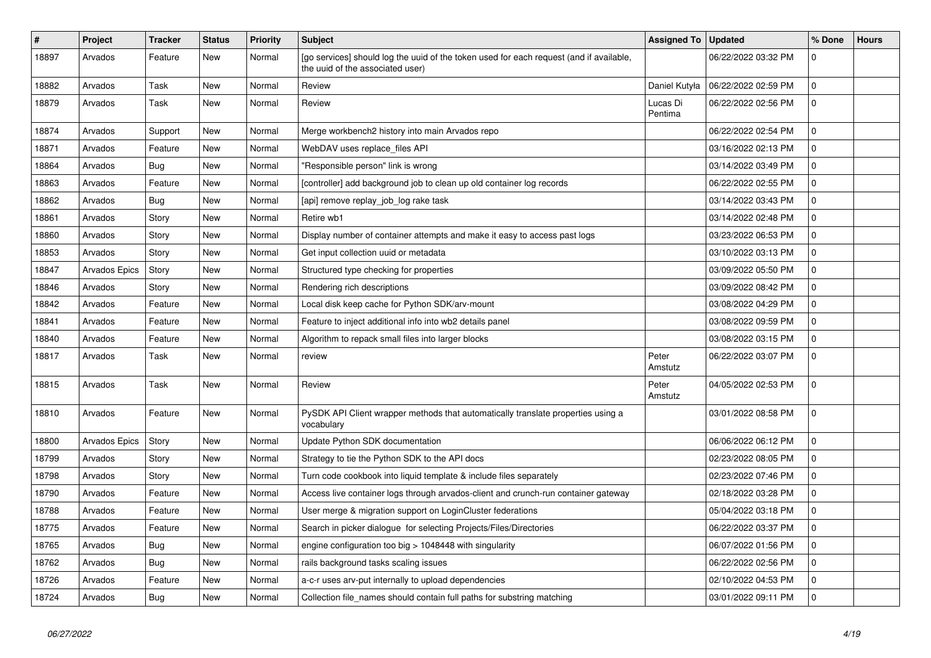| $\vert$ # | Project              | <b>Tracker</b> | <b>Status</b> | <b>Priority</b> | <b>Subject</b>                                                                                                              | <b>Assigned To</b>  | <b>Updated</b>      | % Done       | <b>Hours</b> |
|-----------|----------------------|----------------|---------------|-----------------|-----------------------------------------------------------------------------------------------------------------------------|---------------------|---------------------|--------------|--------------|
| 18897     | Arvados              | Feature        | <b>New</b>    | Normal          | [go services] should log the uuid of the token used for each request (and if available,<br>the uuid of the associated user) |                     | 06/22/2022 03:32 PM | $\mathbf 0$  |              |
| 18882     | Arvados              | Task           | <b>New</b>    | Normal          | Review                                                                                                                      | Daniel Kutyła       | 06/22/2022 02:59 PM | $\mathbf 0$  |              |
| 18879     | Arvados              | Task           | <b>New</b>    | Normal          | Review                                                                                                                      | Lucas Di<br>Pentima | 06/22/2022 02:56 PM | $\mathbf 0$  |              |
| 18874     | Arvados              | Support        | <b>New</b>    | Normal          | Merge workbench2 history into main Arvados repo                                                                             |                     | 06/22/2022 02:54 PM | $\Omega$     |              |
| 18871     | Arvados              | Feature        | <b>New</b>    | Normal          | WebDAV uses replace files API                                                                                               |                     | 03/16/2022 02:13 PM | $\mathbf 0$  |              |
| 18864     | Arvados              | Bug            | <b>New</b>    | Normal          | 'Responsible person" link is wrong                                                                                          |                     | 03/14/2022 03:49 PM | $\mathbf 0$  |              |
| 18863     | Arvados              | Feature        | <b>New</b>    | Normal          | [controller] add background job to clean up old container log records                                                       |                     | 06/22/2022 02:55 PM | $\mathbf 0$  |              |
| 18862     | Arvados              | <b>Bug</b>     | <b>New</b>    | Normal          | [api] remove replay_job_log rake task                                                                                       |                     | 03/14/2022 03:43 PM | $\mathbf 0$  |              |
| 18861     | Arvados              | Story          | <b>New</b>    | Normal          | Retire wb1                                                                                                                  |                     | 03/14/2022 02:48 PM | $\mathbf 0$  |              |
| 18860     | Arvados              | Story          | <b>New</b>    | Normal          | Display number of container attempts and make it easy to access past logs                                                   |                     | 03/23/2022 06:53 PM | $\mathbf 0$  |              |
| 18853     | Arvados              | Story          | <b>New</b>    | Normal          | Get input collection uuid or metadata                                                                                       |                     | 03/10/2022 03:13 PM | $\Omega$     |              |
| 18847     | Arvados Epics        | Story          | <b>New</b>    | Normal          | Structured type checking for properties                                                                                     |                     | 03/09/2022 05:50 PM | $\Omega$     |              |
| 18846     | Arvados              | Story          | <b>New</b>    | Normal          | Rendering rich descriptions                                                                                                 |                     | 03/09/2022 08:42 PM | $\mathbf 0$  |              |
| 18842     | Arvados              | Feature        | <b>New</b>    | Normal          | Local disk keep cache for Python SDK/arv-mount                                                                              |                     | 03/08/2022 04:29 PM | $\mathbf 0$  |              |
| 18841     | Arvados              | Feature        | <b>New</b>    | Normal          | Feature to inject additional info into wb2 details panel                                                                    |                     | 03/08/2022 09:59 PM | $\Omega$     |              |
| 18840     | Arvados              | Feature        | <b>New</b>    | Normal          | Algorithm to repack small files into larger blocks                                                                          |                     | 03/08/2022 03:15 PM | $\mathbf 0$  |              |
| 18817     | Arvados              | Task           | <b>New</b>    | Normal          | review                                                                                                                      | Peter<br>Amstutz    | 06/22/2022 03:07 PM | $\mathbf 0$  |              |
| 18815     | Arvados              | Task           | <b>New</b>    | Normal          | Review                                                                                                                      | Peter<br>Amstutz    | 04/05/2022 02:53 PM | $\Omega$     |              |
| 18810     | Arvados              | Feature        | <b>New</b>    | Normal          | PySDK API Client wrapper methods that automatically translate properties using a<br>vocabulary                              |                     | 03/01/2022 08:58 PM | $\mathbf 0$  |              |
| 18800     | <b>Arvados Epics</b> | Story          | <b>New</b>    | Normal          | Update Python SDK documentation                                                                                             |                     | 06/06/2022 06:12 PM | $\mathbf 0$  |              |
| 18799     | Arvados              | Story          | <b>New</b>    | Normal          | Strategy to tie the Python SDK to the API docs                                                                              |                     | 02/23/2022 08:05 PM | $\mathbf 0$  |              |
| 18798     | Arvados              | Story          | <b>New</b>    | Normal          | Turn code cookbook into liquid template & include files separately                                                          |                     | 02/23/2022 07:46 PM | $\mathbf 0$  |              |
| 18790     | Arvados              | Feature        | <b>New</b>    | Normal          | Access live container logs through arvados-client and crunch-run container gateway                                          |                     | 02/18/2022 03:28 PM | $\mathsf{O}$ |              |
| 18788     | Arvados              | Feature        | <b>New</b>    | Normal          | User merge & migration support on LoginCluster federations                                                                  |                     | 05/04/2022 03:18 PM | $\mathbf 0$  |              |
| 18775     | Arvados              | Feature        | <b>New</b>    | Normal          | Search in picker dialogue for selecting Projects/Files/Directories                                                          |                     | 06/22/2022 03:37 PM | $\mathbf 0$  |              |
| 18765     | Arvados              | <b>Bug</b>     | <b>New</b>    | Normal          | engine configuration too big $>$ 1048448 with singularity                                                                   |                     | 06/07/2022 01:56 PM | $\mathbf 0$  |              |
| 18762     | Arvados              | <b>Bug</b>     | <b>New</b>    | Normal          | rails background tasks scaling issues                                                                                       |                     | 06/22/2022 02:56 PM | $\mathbf 0$  |              |
| 18726     | Arvados              | Feature        | <b>New</b>    | Normal          | a-c-r uses arv-put internally to upload dependencies                                                                        |                     | 02/10/2022 04:53 PM | $\mathbf 0$  |              |
| 18724     | Arvados              | Bug            | <b>New</b>    | Normal          | Collection file names should contain full paths for substring matching                                                      |                     | 03/01/2022 09:11 PM | $\mathbf 0$  |              |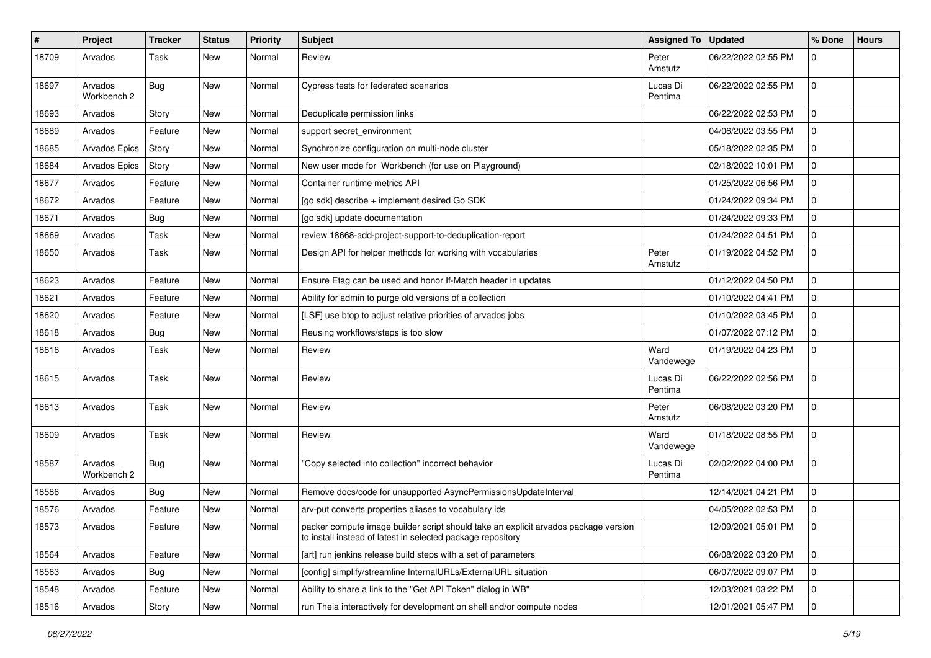| $\sharp$ | Project                | <b>Tracker</b> | <b>Status</b> | <b>Priority</b> | <b>Subject</b>                                                                                                                                     | <b>Assigned To</b>  | <b>Updated</b>      | % Done         | <b>Hours</b> |
|----------|------------------------|----------------|---------------|-----------------|----------------------------------------------------------------------------------------------------------------------------------------------------|---------------------|---------------------|----------------|--------------|
| 18709    | Arvados                | Task           | <b>New</b>    | Normal          | Review                                                                                                                                             | Peter<br>Amstutz    | 06/22/2022 02:55 PM | 0              |              |
| 18697    | Arvados<br>Workbench 2 | Bug            | <b>New</b>    | Normal          | Cypress tests for federated scenarios                                                                                                              | Lucas Di<br>Pentima | 06/22/2022 02:55 PM | $\mathbf 0$    |              |
| 18693    | Arvados                | Story          | <b>New</b>    | Normal          | Deduplicate permission links                                                                                                                       |                     | 06/22/2022 02:53 PM | $\mathbf 0$    |              |
| 18689    | Arvados                | Feature        | <b>New</b>    | Normal          | support secret_environment                                                                                                                         |                     | 04/06/2022 03:55 PM | $\mathbf 0$    |              |
| 18685    | Arvados Epics          | Story          | <b>New</b>    | Normal          | Synchronize configuration on multi-node cluster                                                                                                    |                     | 05/18/2022 02:35 PM | 0              |              |
| 18684    | <b>Arvados Epics</b>   | Story          | <b>New</b>    | Normal          | New user mode for Workbench (for use on Playground)                                                                                                |                     | 02/18/2022 10:01 PM | $\mathbf 0$    |              |
| 18677    | Arvados                | Feature        | <b>New</b>    | Normal          | Container runtime metrics API                                                                                                                      |                     | 01/25/2022 06:56 PM | $\mathbf 0$    |              |
| 18672    | Arvados                | Feature        | <b>New</b>    | Normal          | [go sdk] describe + implement desired Go SDK                                                                                                       |                     | 01/24/2022 09:34 PM | 0              |              |
| 18671    | Arvados                | <b>Bug</b>     | <b>New</b>    | Normal          | [go sdk] update documentation                                                                                                                      |                     | 01/24/2022 09:33 PM | $\mathbf 0$    |              |
| 18669    | Arvados                | Task           | <b>New</b>    | Normal          | review 18668-add-project-support-to-deduplication-report                                                                                           |                     | 01/24/2022 04:51 PM | $\mathbf 0$    |              |
| 18650    | Arvados                | Task           | <b>New</b>    | Normal          | Design API for helper methods for working with vocabularies                                                                                        | Peter<br>Amstutz    | 01/19/2022 04:52 PM | $\mathbf 0$    |              |
| 18623    | Arvados                | Feature        | <b>New</b>    | Normal          | Ensure Etag can be used and honor If-Match header in updates                                                                                       |                     | 01/12/2022 04:50 PM | 0              |              |
| 18621    | Arvados                | Feature        | <b>New</b>    | Normal          | Ability for admin to purge old versions of a collection                                                                                            |                     | 01/10/2022 04:41 PM | $\mathbf 0$    |              |
| 18620    | Arvados                | Feature        | <b>New</b>    | Normal          | [LSF] use btop to adjust relative priorities of arvados jobs                                                                                       |                     | 01/10/2022 03:45 PM | $\mathbf 0$    |              |
| 18618    | Arvados                | <b>Bug</b>     | <b>New</b>    | Normal          | Reusing workflows/steps is too slow                                                                                                                |                     | 01/07/2022 07:12 PM | 0              |              |
| 18616    | Arvados                | Task           | <b>New</b>    | Normal          | Review                                                                                                                                             | Ward<br>Vandewege   | 01/19/2022 04:23 PM | $\mathbf 0$    |              |
| 18615    | Arvados                | Task           | <b>New</b>    | Normal          | Review                                                                                                                                             | Lucas Di<br>Pentima | 06/22/2022 02:56 PM | $\mathbf 0$    |              |
| 18613    | Arvados                | Task           | <b>New</b>    | Normal          | Review                                                                                                                                             | Peter<br>Amstutz    | 06/08/2022 03:20 PM | $\mathbf 0$    |              |
| 18609    | Arvados                | Task           | <b>New</b>    | Normal          | Review                                                                                                                                             | Ward<br>Vandewege   | 01/18/2022 08:55 PM | $\mathbf 0$    |              |
| 18587    | Arvados<br>Workbench 2 | Bug            | <b>New</b>    | Normal          | 'Copy selected into collection" incorrect behavior                                                                                                 | Lucas Di<br>Pentima | 02/02/2022 04:00 PM | $\mathbf 0$    |              |
| 18586    | Arvados                | Bug            | <b>New</b>    | Normal          | Remove docs/code for unsupported AsyncPermissionsUpdateInterval                                                                                    |                     | 12/14/2021 04:21 PM | $\mathbf 0$    |              |
| 18576    | Arvados                | Feature        | <b>New</b>    | Normal          | arv-put converts properties aliases to vocabulary ids                                                                                              |                     | 04/05/2022 02:53 PM | 0              |              |
| 18573    | Arvados                | Feature        | New           | Normal          | packer compute image builder script should take an explicit arvados package version<br>to install instead of latest in selected package repository |                     | 12/09/2021 05:01 PM | 0              |              |
| 18564    | Arvados                | Feature        | New           | Normal          | [art] run jenkins release build steps with a set of parameters                                                                                     |                     | 06/08/2022 03:20 PM | $\mathbf 0$    |              |
| 18563    | Arvados                | <b>Bug</b>     | New           | Normal          | [config] simplify/streamline InternalURLs/ExternalURL situation                                                                                    |                     | 06/07/2022 09:07 PM | 0              |              |
| 18548    | Arvados                | Feature        | New           | Normal          | Ability to share a link to the "Get API Token" dialog in WB"                                                                                       |                     | 12/03/2021 03:22 PM | 0              |              |
| 18516    | Arvados                | Story          | New           | Normal          | run Theia interactively for development on shell and/or compute nodes                                                                              |                     | 12/01/2021 05:47 PM | $\overline{0}$ |              |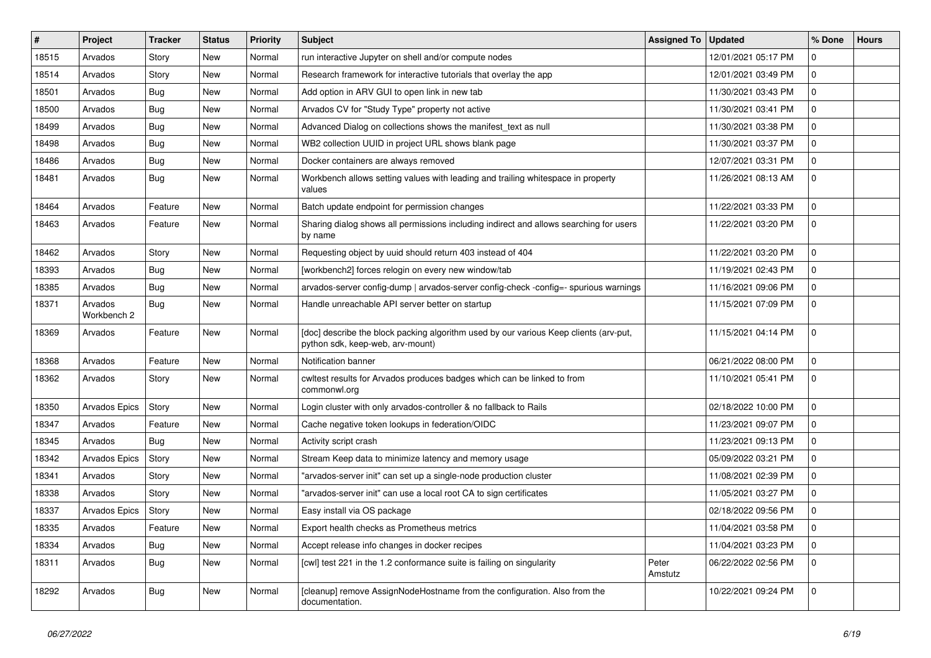| #     | Project                | <b>Tracker</b> | <b>Status</b> | <b>Priority</b> | <b>Subject</b>                                                                                                            | <b>Assigned To</b> | <b>Updated</b>      | % Done      | <b>Hours</b> |
|-------|------------------------|----------------|---------------|-----------------|---------------------------------------------------------------------------------------------------------------------------|--------------------|---------------------|-------------|--------------|
| 18515 | Arvados                | Story          | <b>New</b>    | Normal          | run interactive Jupyter on shell and/or compute nodes                                                                     |                    | 12/01/2021 05:17 PM | $\mathbf 0$ |              |
| 18514 | Arvados                | Story          | <b>New</b>    | Normal          | Research framework for interactive tutorials that overlay the app                                                         |                    | 12/01/2021 03:49 PM | $\mathbf 0$ |              |
| 18501 | Arvados                | Bug            | <b>New</b>    | Normal          | Add option in ARV GUI to open link in new tab                                                                             |                    | 11/30/2021 03:43 PM | 0           |              |
| 18500 | Arvados                | Bug            | <b>New</b>    | Normal          | Arvados CV for "Study Type" property not active                                                                           |                    | 11/30/2021 03:41 PM | 0           |              |
| 18499 | Arvados                | <b>Bug</b>     | <b>New</b>    | Normal          | Advanced Dialog on collections shows the manifest_text as null                                                            |                    | 11/30/2021 03:38 PM | 0           |              |
| 18498 | Arvados                | Bug            | <b>New</b>    | Normal          | WB2 collection UUID in project URL shows blank page                                                                       |                    | 11/30/2021 03:37 PM | 0           |              |
| 18486 | Arvados                | Bug            | <b>New</b>    | Normal          | Docker containers are always removed                                                                                      |                    | 12/07/2021 03:31 PM | 0           |              |
| 18481 | Arvados                | Bug            | <b>New</b>    | Normal          | Workbench allows setting values with leading and trailing whitespace in property<br>values                                |                    | 11/26/2021 08:13 AM | $\Omega$    |              |
| 18464 | Arvados                | Feature        | <b>New</b>    | Normal          | Batch update endpoint for permission changes                                                                              |                    | 11/22/2021 03:33 PM | $\mathbf 0$ |              |
| 18463 | Arvados                | Feature        | <b>New</b>    | Normal          | Sharing dialog shows all permissions including indirect and allows searching for users<br>by name                         |                    | 11/22/2021 03:20 PM | $\mathbf 0$ |              |
| 18462 | Arvados                | Story          | <b>New</b>    | Normal          | Requesting object by uuid should return 403 instead of 404                                                                |                    | 11/22/2021 03:20 PM | 0           |              |
| 18393 | Arvados                | <b>Bug</b>     | <b>New</b>    | Normal          | [workbench2] forces relogin on every new window/tab                                                                       |                    | 11/19/2021 02:43 PM | 0           |              |
| 18385 | Arvados                | <b>Bug</b>     | New           | Normal          | arvados-server config-dump   arvados-server config-check -config=- spurious warnings                                      |                    | 11/16/2021 09:06 PM | 0           |              |
| 18371 | Arvados<br>Workbench 2 | <b>Bug</b>     | New           | Normal          | Handle unreachable API server better on startup                                                                           |                    | 11/15/2021 07:09 PM | 0           |              |
| 18369 | Arvados                | Feature        | <b>New</b>    | Normal          | [doc] describe the block packing algorithm used by our various Keep clients (arv-put,<br>python sdk, keep-web, arv-mount) |                    | 11/15/2021 04:14 PM | $\Omega$    |              |
| 18368 | Arvados                | Feature        | <b>New</b>    | Normal          | Notification banner                                                                                                       |                    | 06/21/2022 08:00 PM | 0           |              |
| 18362 | Arvados                | Story          | <b>New</b>    | Normal          | cwltest results for Arvados produces badges which can be linked to from<br>commonwl.org                                   |                    | 11/10/2021 05:41 PM | $\mathbf 0$ |              |
| 18350 | Arvados Epics          | Story          | <b>New</b>    | Normal          | Login cluster with only arvados-controller & no fallback to Rails                                                         |                    | 02/18/2022 10:00 PM | 0           |              |
| 18347 | Arvados                | Feature        | <b>New</b>    | Normal          | Cache negative token lookups in federation/OIDC                                                                           |                    | 11/23/2021 09:07 PM | $\mathbf 0$ |              |
| 18345 | Arvados                | Bug            | <b>New</b>    | Normal          | Activity script crash                                                                                                     |                    | 11/23/2021 09:13 PM | 0           |              |
| 18342 | Arvados Epics          | Story          | <b>New</b>    | Normal          | Stream Keep data to minimize latency and memory usage                                                                     |                    | 05/09/2022 03:21 PM | $\mathbf 0$ |              |
| 18341 | Arvados                | Story          | <b>New</b>    | Normal          | "arvados-server init" can set up a single-node production cluster                                                         |                    | 11/08/2021 02:39 PM | $\mathbf 0$ |              |
| 18338 | Arvados                | Story          | <b>New</b>    | Normal          | "arvados-server init" can use a local root CA to sign certificates                                                        |                    | 11/05/2021 03:27 PM | $\mathbf 0$ |              |
| 18337 | Arvados Epics          | Story          | <b>New</b>    | Normal          | Easy install via OS package                                                                                               |                    | 02/18/2022 09:56 PM | $\mathbf 0$ |              |
| 18335 | Arvados                | Feature        | <b>New</b>    | Normal          | Export health checks as Prometheus metrics                                                                                |                    | 11/04/2021 03:58 PM | $\mathbf 0$ |              |
| 18334 | Arvados                | Bug            | <b>New</b>    | Normal          | Accept release info changes in docker recipes                                                                             |                    | 11/04/2021 03:23 PM | $\mathbf 0$ |              |
| 18311 | Arvados                | Bug            | <b>New</b>    | Normal          | [cwl] test 221 in the 1.2 conformance suite is failing on singularity                                                     | Peter<br>Amstutz   | 06/22/2022 02:56 PM | $\mathbf 0$ |              |
| 18292 | Arvados                | <b>Bug</b>     | <b>New</b>    | Normal          | [cleanup] remove AssignNodeHostname from the configuration. Also from the<br>documentation.                               |                    | 10/22/2021 09:24 PM | $\Omega$    |              |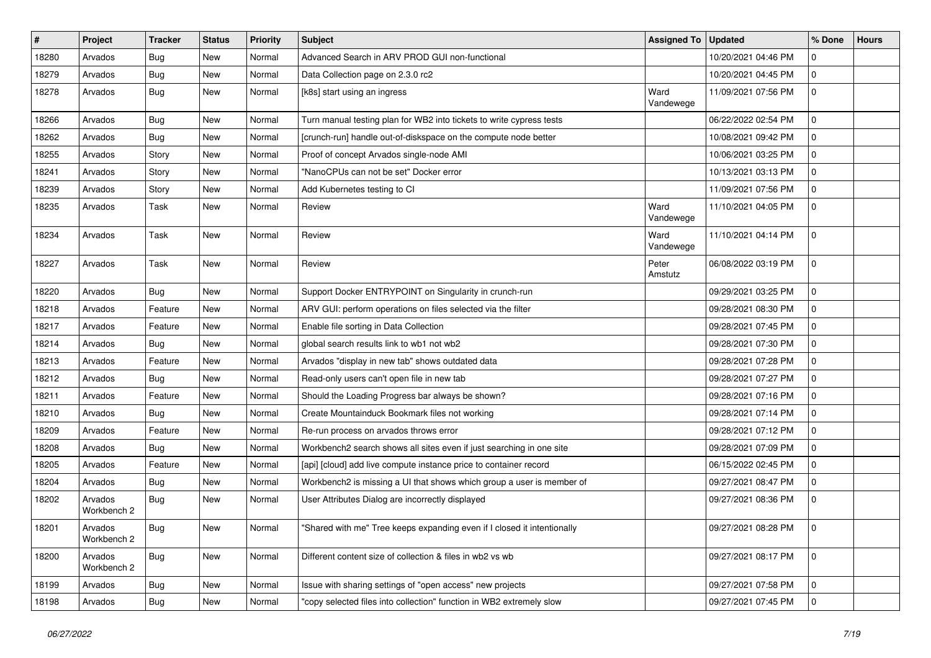| #     | Project                | Tracker    | <b>Status</b> | <b>Priority</b> | Subject                                                                 | <b>Assigned To</b> | <b>Updated</b>      | % Done      | <b>Hours</b> |
|-------|------------------------|------------|---------------|-----------------|-------------------------------------------------------------------------|--------------------|---------------------|-------------|--------------|
| 18280 | Arvados                | <b>Bug</b> | <b>New</b>    | Normal          | Advanced Search in ARV PROD GUI non-functional                          |                    | 10/20/2021 04:46 PM | $\Omega$    |              |
| 18279 | Arvados                | Bug        | <b>New</b>    | Normal          | Data Collection page on 2.3.0 rc2                                       |                    | 10/20/2021 04:45 PM | $\mathbf 0$ |              |
| 18278 | Arvados                | Bug        | New           | Normal          | [k8s] start using an ingress                                            | Ward<br>Vandewege  | 11/09/2021 07:56 PM | $\mathbf 0$ |              |
| 18266 | Arvados                | Bug        | <b>New</b>    | Normal          | Turn manual testing plan for WB2 into tickets to write cypress tests    |                    | 06/22/2022 02:54 PM | $\mathbf 0$ |              |
| 18262 | Arvados                | Bug        | <b>New</b>    | Normal          | [crunch-run] handle out-of-diskspace on the compute node better         |                    | 10/08/2021 09:42 PM | $\mathbf 0$ |              |
| 18255 | Arvados                | Story      | <b>New</b>    | Normal          | Proof of concept Arvados single-node AMI                                |                    | 10/06/2021 03:25 PM | $\mathbf 0$ |              |
| 18241 | Arvados                | Story      | New           | Normal          | "NanoCPUs can not be set" Docker error                                  |                    | 10/13/2021 03:13 PM | $\mathbf 0$ |              |
| 18239 | Arvados                | Story      | <b>New</b>    | Normal          | Add Kubernetes testing to CI                                            |                    | 11/09/2021 07:56 PM | $\mathbf 0$ |              |
| 18235 | Arvados                | Task       | <b>New</b>    | Normal          | Review                                                                  | Ward<br>Vandewege  | 11/10/2021 04:05 PM | $\mathbf 0$ |              |
| 18234 | Arvados                | Task       | <b>New</b>    | Normal          | Review                                                                  | Ward<br>Vandewege  | 11/10/2021 04:14 PM | $\mathbf 0$ |              |
| 18227 | Arvados                | Task       | <b>New</b>    | Normal          | Review                                                                  | Peter<br>Amstutz   | 06/08/2022 03:19 PM | $\mathbf 0$ |              |
| 18220 | Arvados                | Bug        | <b>New</b>    | Normal          | Support Docker ENTRYPOINT on Singularity in crunch-run                  |                    | 09/29/2021 03:25 PM | $\mathbf 0$ |              |
| 18218 | Arvados                | Feature    | <b>New</b>    | Normal          | ARV GUI: perform operations on files selected via the filter            |                    | 09/28/2021 08:30 PM | $\mathbf 0$ |              |
| 18217 | Arvados                | Feature    | <b>New</b>    | Normal          | Enable file sorting in Data Collection                                  |                    | 09/28/2021 07:45 PM | $\mathbf 0$ |              |
| 18214 | Arvados                | <b>Bug</b> | New           | Normal          | global search results link to wb1 not wb2                               |                    | 09/28/2021 07:30 PM | $\mathbf 0$ |              |
| 18213 | Arvados                | Feature    | <b>New</b>    | Normal          | Arvados "display in new tab" shows outdated data                        |                    | 09/28/2021 07:28 PM | $\mathbf 0$ |              |
| 18212 | Arvados                | Bug        | New           | Normal          | Read-only users can't open file in new tab                              |                    | 09/28/2021 07:27 PM | $\mathbf 0$ |              |
| 18211 | Arvados                | Feature    | New           | Normal          | Should the Loading Progress bar always be shown?                        |                    | 09/28/2021 07:16 PM | $\mathbf 0$ |              |
| 18210 | Arvados                | Bug        | <b>New</b>    | Normal          | Create Mountainduck Bookmark files not working                          |                    | 09/28/2021 07:14 PM | $\mathbf 0$ |              |
| 18209 | Arvados                | Feature    | New           | Normal          | Re-run process on arvados throws error                                  |                    | 09/28/2021 07:12 PM | $\mathbf 0$ |              |
| 18208 | Arvados                | Bug        | <b>New</b>    | Normal          | Workbench2 search shows all sites even if just searching in one site    |                    | 09/28/2021 07:09 PM | $\Omega$    |              |
| 18205 | Arvados                | Feature    | New           | Normal          | [api] [cloud] add live compute instance price to container record       |                    | 06/15/2022 02:45 PM | $\mathbf 0$ |              |
| 18204 | Arvados                | Bug        | New           | Normal          | Workbench2 is missing a UI that shows which group a user is member of   |                    | 09/27/2021 08:47 PM | $\mathbf 0$ |              |
| 18202 | Arvados<br>Workbench 2 | <b>Bug</b> | <b>New</b>    | Normal          | User Attributes Dialog are incorrectly displayed                        |                    | 09/27/2021 08:36 PM | $\Omega$    |              |
| 18201 | Arvados<br>Workbench 2 | <b>Bug</b> | New           | Normal          | "Shared with me" Tree keeps expanding even if I closed it intentionally |                    | 09/27/2021 08:28 PM | 0           |              |
| 18200 | Arvados<br>Workbench 2 | Bug        | New           | Normal          | Different content size of collection & files in wb2 vs wb               |                    | 09/27/2021 08:17 PM | 0           |              |
| 18199 | Arvados                | <b>Bug</b> | New           | Normal          | Issue with sharing settings of "open access" new projects               |                    | 09/27/2021 07:58 PM | 0           |              |
| 18198 | Arvados                | <b>Bug</b> | New           | Normal          | "copy selected files into collection" function in WB2 extremely slow    |                    | 09/27/2021 07:45 PM | 0           |              |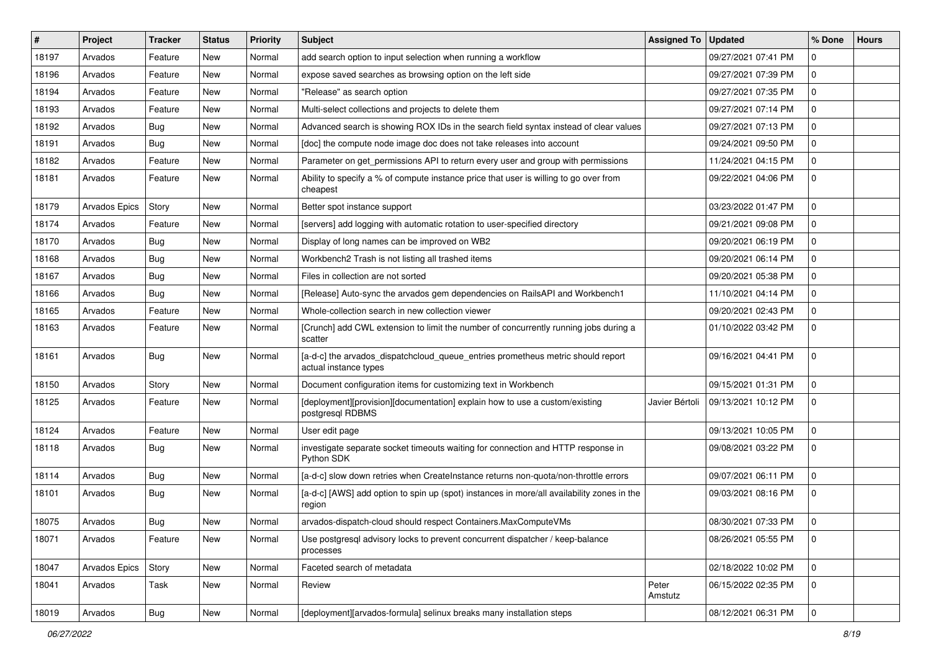| #     | Project       | Tracker    | <b>Status</b> | <b>Priority</b> | Subject                                                                                                  | <b>Assigned To</b> | <b>Updated</b>      | % Done       | <b>Hours</b> |
|-------|---------------|------------|---------------|-----------------|----------------------------------------------------------------------------------------------------------|--------------------|---------------------|--------------|--------------|
| 18197 | Arvados       | Feature    | <b>New</b>    | Normal          | add search option to input selection when running a workflow                                             |                    | 09/27/2021 07:41 PM | $\Omega$     |              |
| 18196 | Arvados       | Feature    | <b>New</b>    | Normal          | expose saved searches as browsing option on the left side                                                |                    | 09/27/2021 07:39 PM | $\mathbf 0$  |              |
| 18194 | Arvados       | Feature    | <b>New</b>    | Normal          | "Release" as search option                                                                               |                    | 09/27/2021 07:35 PM | $\mathbf 0$  |              |
| 18193 | Arvados       | Feature    | <b>New</b>    | Normal          | Multi-select collections and projects to delete them                                                     |                    | 09/27/2021 07:14 PM | $\mathbf 0$  |              |
| 18192 | Arvados       | <b>Bug</b> | <b>New</b>    | Normal          | Advanced search is showing ROX IDs in the search field syntax instead of clear values                    |                    | 09/27/2021 07:13 PM | $\mathbf 0$  |              |
| 18191 | Arvados       | <b>Bug</b> | <b>New</b>    | Normal          | [doc] the compute node image doc does not take releases into account                                     |                    | 09/24/2021 09:50 PM | $\mathbf 0$  |              |
| 18182 | Arvados       | Feature    | <b>New</b>    | Normal          | Parameter on get_permissions API to return every user and group with permissions                         |                    | 11/24/2021 04:15 PM | $\mathbf 0$  |              |
| 18181 | Arvados       | Feature    | New           | Normal          | Ability to specify a % of compute instance price that user is willing to go over from<br>cheapest        |                    | 09/22/2021 04:06 PM | $\mathbf 0$  |              |
| 18179 | Arvados Epics | Story      | <b>New</b>    | Normal          | Better spot instance support                                                                             |                    | 03/23/2022 01:47 PM | $\mathbf 0$  |              |
| 18174 | Arvados       | Feature    | <b>New</b>    | Normal          | [servers] add logging with automatic rotation to user-specified directory                                |                    | 09/21/2021 09:08 PM | $\mathbf 0$  |              |
| 18170 | Arvados       | Bug        | <b>New</b>    | Normal          | Display of long names can be improved on WB2                                                             |                    | 09/20/2021 06:19 PM | $\mathbf 0$  |              |
| 18168 | Arvados       | <b>Bug</b> | <b>New</b>    | Normal          | Workbench2 Trash is not listing all trashed items                                                        |                    | 09/20/2021 06:14 PM | $\mathbf 0$  |              |
| 18167 | Arvados       | <b>Bug</b> | <b>New</b>    | Normal          | Files in collection are not sorted                                                                       |                    | 09/20/2021 05:38 PM | $\Omega$     |              |
| 18166 | Arvados       | <b>Bug</b> | <b>New</b>    | Normal          | [Release] Auto-sync the arvados gem dependencies on RailsAPI and Workbench1                              |                    | 11/10/2021 04:14 PM | $\mathbf 0$  |              |
| 18165 | Arvados       | Feature    | <b>New</b>    | Normal          | Whole-collection search in new collection viewer                                                         |                    | 09/20/2021 02:43 PM | $\mathbf 0$  |              |
| 18163 | Arvados       | Feature    | <b>New</b>    | Normal          | [Crunch] add CWL extension to limit the number of concurrently running jobs during a<br>scatter          |                    | 01/10/2022 03:42 PM | $\Omega$     |              |
| 18161 | Arvados       | Bug        | New           | Normal          | [a-d-c] the arvados_dispatchcloud_queue_entries prometheus metric should report<br>actual instance types |                    | 09/16/2021 04:41 PM | $\mathbf 0$  |              |
| 18150 | Arvados       | Story      | <b>New</b>    | Normal          | Document configuration items for customizing text in Workbench                                           |                    | 09/15/2021 01:31 PM | $\mathbf 0$  |              |
| 18125 | Arvados       | Feature    | <b>New</b>    | Normal          | [deployment][provision][documentation] explain how to use a custom/existing<br>postgresql RDBMS          | Javier Bértoli     | 09/13/2021 10:12 PM | $\mathbf 0$  |              |
| 18124 | Arvados       | Feature    | New           | Normal          | User edit page                                                                                           |                    | 09/13/2021 10:05 PM | $\mathbf 0$  |              |
| 18118 | Arvados       | Bug        | <b>New</b>    | Normal          | investigate separate socket timeouts waiting for connection and HTTP response in<br>Python SDK           |                    | 09/08/2021 03:22 PM | $\Omega$     |              |
| 18114 | Arvados       | Bug        | <b>New</b>    | Normal          | [a-d-c] slow down retries when CreateInstance returns non-quota/non-throttle errors                      |                    | 09/07/2021 06:11 PM | $\mathbf 0$  |              |
| 18101 | Arvados       | <b>Bug</b> | <b>New</b>    | Normal          | [a-d-c] [AWS] add option to spin up (spot) instances in more/all availability zones in the<br>region     |                    | 09/03/2021 08:16 PM | $\mathbf 0$  |              |
| 18075 | Arvados       | Bug        | <b>New</b>    | Normal          | arvados-dispatch-cloud should respect Containers.MaxComputeVMs                                           |                    | 08/30/2021 07:33 PM | $\Omega$     |              |
| 18071 | Arvados       | Feature    | New           | Normal          | Use postgresql advisory locks to prevent concurrent dispatcher / keep-balance<br>processes               |                    | 08/26/2021 05:55 PM | 0            |              |
| 18047 | Arvados Epics | Story      | New           | Normal          | Faceted search of metadata                                                                               |                    | 02/18/2022 10:02 PM | $\mathbf{0}$ |              |
| 18041 | Arvados       | Task       | New           | Normal          | Review                                                                                                   | Peter<br>Amstutz   | 06/15/2022 02:35 PM | 0            |              |
| 18019 | Arvados       | Bug        | New           | Normal          | [deployment][arvados-formula] selinux breaks many installation steps                                     |                    | 08/12/2021 06:31 PM | 0            |              |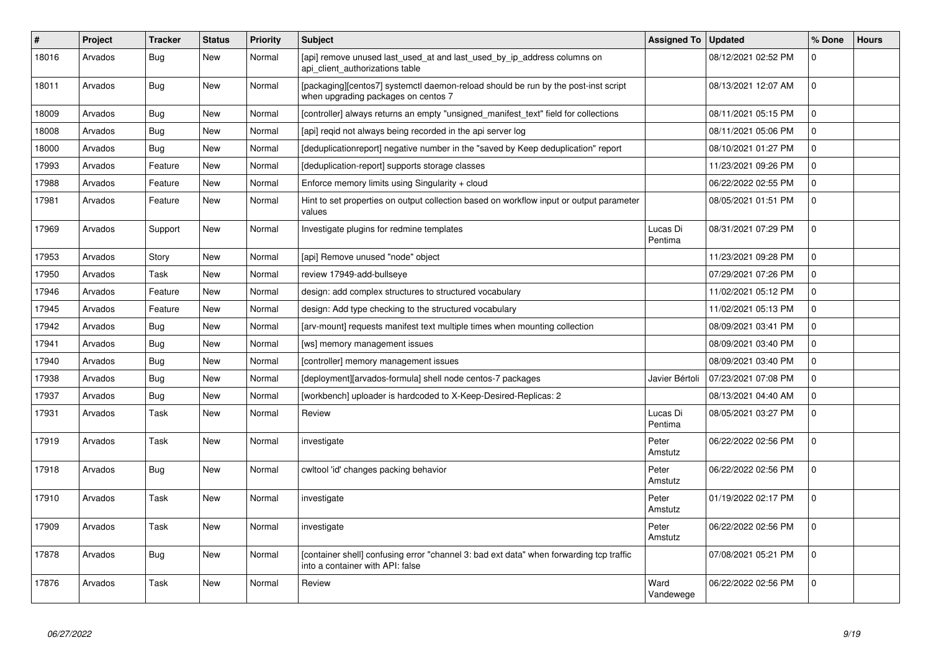| $\#$  | Project | <b>Tracker</b> | <b>Status</b> | <b>Priority</b> | <b>Subject</b>                                                                                                              | <b>Assigned To</b>  | <b>Updated</b>      | % Done      | <b>Hours</b> |
|-------|---------|----------------|---------------|-----------------|-----------------------------------------------------------------------------------------------------------------------------|---------------------|---------------------|-------------|--------------|
| 18016 | Arvados | <b>Bug</b>     | <b>New</b>    | Normal          | [api] remove unused last_used_at and last_used_by_ip_address columns on<br>api client authorizations table                  |                     | 08/12/2021 02:52 PM | $\Omega$    |              |
| 18011 | Arvados | Bug            | <b>New</b>    | Normal          | [packaging][centos7] systemctl daemon-reload should be run by the post-inst script<br>when upgrading packages on centos 7   |                     | 08/13/2021 12:07 AM | $\Omega$    |              |
| 18009 | Arvados | Bug            | <b>New</b>    | Normal          | [controller] always returns an empty "unsigned manifest text" field for collections                                         |                     | 08/11/2021 05:15 PM | $\Omega$    |              |
| 18008 | Arvados | Bug            | New           | Normal          | [api] regid not always being recorded in the api server log                                                                 |                     | 08/11/2021 05:06 PM | $\Omega$    |              |
| 18000 | Arvados | Bug            | <b>New</b>    | Normal          | [deduplicationreport] negative number in the "saved by Keep deduplication" report                                           |                     | 08/10/2021 01:27 PM | $\mathbf 0$ |              |
| 17993 | Arvados | Feature        | <b>New</b>    | Normal          | [deduplication-report] supports storage classes                                                                             |                     | 11/23/2021 09:26 PM | $\mathbf 0$ |              |
| 17988 | Arvados | Feature        | New           | Normal          | Enforce memory limits using Singularity $+$ cloud                                                                           |                     | 06/22/2022 02:55 PM | $\mathbf 0$ |              |
| 17981 | Arvados | Feature        | <b>New</b>    | Normal          | Hint to set properties on output collection based on workflow input or output parameter<br>values                           |                     | 08/05/2021 01:51 PM | $\Omega$    |              |
| 17969 | Arvados | Support        | <b>New</b>    | Normal          | Investigate plugins for redmine templates                                                                                   | Lucas Di<br>Pentima | 08/31/2021 07:29 PM | $\Omega$    |              |
| 17953 | Arvados | Story          | <b>New</b>    | Normal          | [api] Remove unused "node" object                                                                                           |                     | 11/23/2021 09:28 PM | $\mathbf 0$ |              |
| 17950 | Arvados | Task           | <b>New</b>    | Normal          | review 17949-add-bullseye                                                                                                   |                     | 07/29/2021 07:26 PM | $\mathbf 0$ |              |
| 17946 | Arvados | Feature        | New           | Normal          | design: add complex structures to structured vocabulary                                                                     |                     | 11/02/2021 05:12 PM | $\mathbf 0$ |              |
| 17945 | Arvados | Feature        | <b>New</b>    | Normal          | design: Add type checking to the structured vocabulary                                                                      |                     | 11/02/2021 05:13 PM | $\Omega$    |              |
| 17942 | Arvados | Bug            | <b>New</b>    | Normal          | [arv-mount] requests manifest text multiple times when mounting collection                                                  |                     | 08/09/2021 03:41 PM | $\mathbf 0$ |              |
| 17941 | Arvados | <b>Bug</b>     | <b>New</b>    | Normal          | [ws] memory management issues                                                                                               |                     | 08/09/2021 03:40 PM | $\Omega$    |              |
| 17940 | Arvados | Bug            | New           | Normal          | [controller] memory management issues                                                                                       |                     | 08/09/2021 03:40 PM | $\mathbf 0$ |              |
| 17938 | Arvados | <b>Bug</b>     | <b>New</b>    | Normal          | [deployment][arvados-formula] shell node centos-7 packages                                                                  | Javier Bértoli      | 07/23/2021 07:08 PM | $\mathbf 0$ |              |
| 17937 | Arvados | Bug            | New           | Normal          | [workbench] uploader is hardcoded to X-Keep-Desired-Replicas: 2                                                             |                     | 08/13/2021 04:40 AM | $\mathbf 0$ |              |
| 17931 | Arvados | Task           | <b>New</b>    | Normal          | Review                                                                                                                      | Lucas Di<br>Pentima | 08/05/2021 03:27 PM | $\Omega$    |              |
| 17919 | Arvados | Task           | <b>New</b>    | Normal          | investigate                                                                                                                 | Peter<br>Amstutz    | 06/22/2022 02:56 PM | $\Omega$    |              |
| 17918 | Arvados | Bug            | <b>New</b>    | Normal          | cwltool 'id' changes packing behavior                                                                                       | Peter<br>Amstutz    | 06/22/2022 02:56 PM | $\mathbf 0$ |              |
| 17910 | Arvados | Task           | <b>New</b>    | Normal          | investigate                                                                                                                 | Peter<br>Amstutz    | 01/19/2022 02:17 PM | $\Omega$    |              |
| 17909 | Arvados | Task           | <b>New</b>    | Normal          | investigate                                                                                                                 | Peter<br>Amstutz    | 06/22/2022 02:56 PM | $\Omega$    |              |
| 17878 | Arvados | <b>Bug</b>     | New           | Normal          | [container shell] confusing error "channel 3: bad ext data" when forwarding tcp traffic<br>into a container with API: false |                     | 07/08/2021 05:21 PM | $\mathbf 0$ |              |
| 17876 | Arvados | Task           | <b>New</b>    | Normal          | Review                                                                                                                      | Ward<br>Vandewege   | 06/22/2022 02:56 PM | $\mathbf 0$ |              |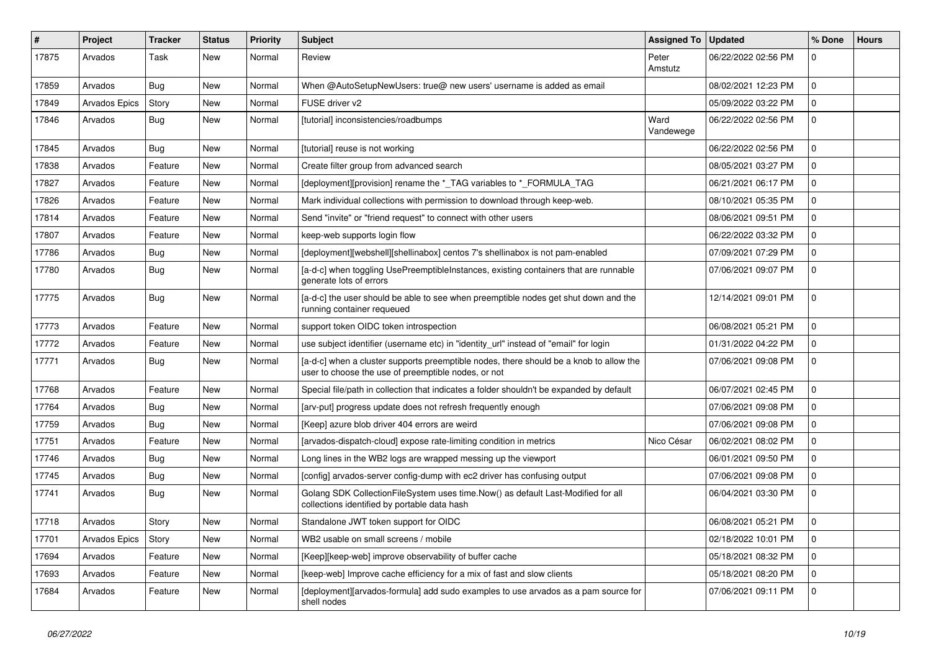| $\sharp$ | Project              | <b>Tracker</b> | <b>Status</b> | <b>Priority</b> | <b>Subject</b>                                                                                                                                | Assigned To       | <b>Updated</b>      | % Done      | <b>Hours</b> |
|----------|----------------------|----------------|---------------|-----------------|-----------------------------------------------------------------------------------------------------------------------------------------------|-------------------|---------------------|-------------|--------------|
| 17875    | Arvados              | Task           | New           | Normal          | Review                                                                                                                                        | Peter<br>Amstutz  | 06/22/2022 02:56 PM | $\mathbf 0$ |              |
| 17859    | Arvados              | Bug            | New           | Normal          | When @AutoSetupNewUsers: true@ new users' username is added as email                                                                          |                   | 08/02/2021 12:23 PM | 0           |              |
| 17849    | <b>Arvados Epics</b> | Story          | <b>New</b>    | Normal          | FUSE driver v2                                                                                                                                |                   | 05/09/2022 03:22 PM | 0           |              |
| 17846    | Arvados              | Bug            | New           | Normal          | [tutorial] inconsistencies/roadbumps                                                                                                          | Ward<br>Vandewege | 06/22/2022 02:56 PM | 0           |              |
| 17845    | Arvados              | Bug            | New           | Normal          | [tutorial] reuse is not working                                                                                                               |                   | 06/22/2022 02:56 PM | 0           |              |
| 17838    | Arvados              | Feature        | <b>New</b>    | Normal          | Create filter group from advanced search                                                                                                      |                   | 08/05/2021 03:27 PM | $\mathbf 0$ |              |
| 17827    | Arvados              | Feature        | New           | Normal          | [deployment][provision] rename the *_TAG variables to *_FORMULA_TAG                                                                           |                   | 06/21/2021 06:17 PM | 0           |              |
| 17826    | Arvados              | Feature        | <b>New</b>    | Normal          | Mark individual collections with permission to download through keep-web.                                                                     |                   | 08/10/2021 05:35 PM | 0           |              |
| 17814    | Arvados              | Feature        | New           | Normal          | Send "invite" or "friend request" to connect with other users                                                                                 |                   | 08/06/2021 09:51 PM | 0           |              |
| 17807    | Arvados              | Feature        | <b>New</b>    | Normal          | keep-web supports login flow                                                                                                                  |                   | 06/22/2022 03:32 PM | 0           |              |
| 17786    | Arvados              | Bug            | New           | Normal          | [deployment][webshell][shellinabox] centos 7's shellinabox is not pam-enabled                                                                 |                   | 07/09/2021 07:29 PM | $\mathbf 0$ |              |
| 17780    | Arvados              | <b>Bug</b>     | New           | Normal          | [a-d-c] when toggling UsePreemptibleInstances, existing containers that are runnable<br>generate lots of errors                               |                   | 07/06/2021 09:07 PM | $\mathbf 0$ |              |
| 17775    | Arvados              | <b>Bug</b>     | <b>New</b>    | Normal          | [a-d-c] the user should be able to see when preemptible nodes get shut down and the<br>running container requeued                             |                   | 12/14/2021 09:01 PM | $\mathbf 0$ |              |
| 17773    | Arvados              | Feature        | <b>New</b>    | Normal          | support token OIDC token introspection                                                                                                        |                   | 06/08/2021 05:21 PM | 0           |              |
| 17772    | Arvados              | Feature        | New           | Normal          | use subject identifier (username etc) in "identity_url" instead of "email" for login                                                          |                   | 01/31/2022 04:22 PM | 0           |              |
| 17771    | Arvados              | <b>Bug</b>     | New           | Normal          | [a-d-c] when a cluster supports preemptible nodes, there should be a knob to allow the<br>user to choose the use of preemptible nodes, or not |                   | 07/06/2021 09:08 PM | $\mathbf 0$ |              |
| 17768    | Arvados              | Feature        | <b>New</b>    | Normal          | Special file/path in collection that indicates a folder shouldn't be expanded by default                                                      |                   | 06/07/2021 02:45 PM | 0           |              |
| 17764    | Arvados              | <b>Bug</b>     | New           | Normal          | [arv-put] progress update does not refresh frequently enough                                                                                  |                   | 07/06/2021 09:08 PM | 0           |              |
| 17759    | Arvados              | <b>Bug</b>     | <b>New</b>    | Normal          | [Keep] azure blob driver 404 errors are weird                                                                                                 |                   | 07/06/2021 09:08 PM | $\mathbf 0$ |              |
| 17751    | Arvados              | Feature        | New           | Normal          | [arvados-dispatch-cloud] expose rate-limiting condition in metrics                                                                            | Nico César        | 06/02/2021 08:02 PM | 0           |              |
| 17746    | Arvados              | <b>Bug</b>     | New           | Normal          | Long lines in the WB2 logs are wrapped messing up the viewport                                                                                |                   | 06/01/2021 09:50 PM | 0           |              |
| 17745    | Arvados              | <b>Bug</b>     | New           | Normal          | [config] arvados-server config-dump with ec2 driver has confusing output                                                                      |                   | 07/06/2021 09:08 PM | 0           |              |
| 17741    | Arvados              | <b>Bug</b>     | New           | Normal          | Golang SDK CollectionFileSystem uses time.Now() as default Last-Modified for all<br>collections identified by portable data hash              |                   | 06/04/2021 03:30 PM | $\mathbf 0$ |              |
| 17718    | Arvados              | Story          | New           | Normal          | Standalone JWT token support for OIDC                                                                                                         |                   | 06/08/2021 05:21 PM | $\mathbf 0$ |              |
| 17701    | Arvados Epics        | Story          | New           | Normal          | WB2 usable on small screens / mobile                                                                                                          |                   | 02/18/2022 10:01 PM | $\mathbf 0$ |              |
| 17694    | Arvados              | Feature        | New           | Normal          | [Keep][keep-web] improve observability of buffer cache                                                                                        |                   | 05/18/2021 08:32 PM | 0           |              |
| 17693    | Arvados              | Feature        | New           | Normal          | [keep-web] Improve cache efficiency for a mix of fast and slow clients                                                                        |                   | 05/18/2021 08:20 PM | 0           |              |
| 17684    | Arvados              | Feature        | New           | Normal          | [deployment][arvados-formula] add sudo examples to use arvados as a pam source for<br>shell nodes                                             |                   | 07/06/2021 09:11 PM | $\mathbf 0$ |              |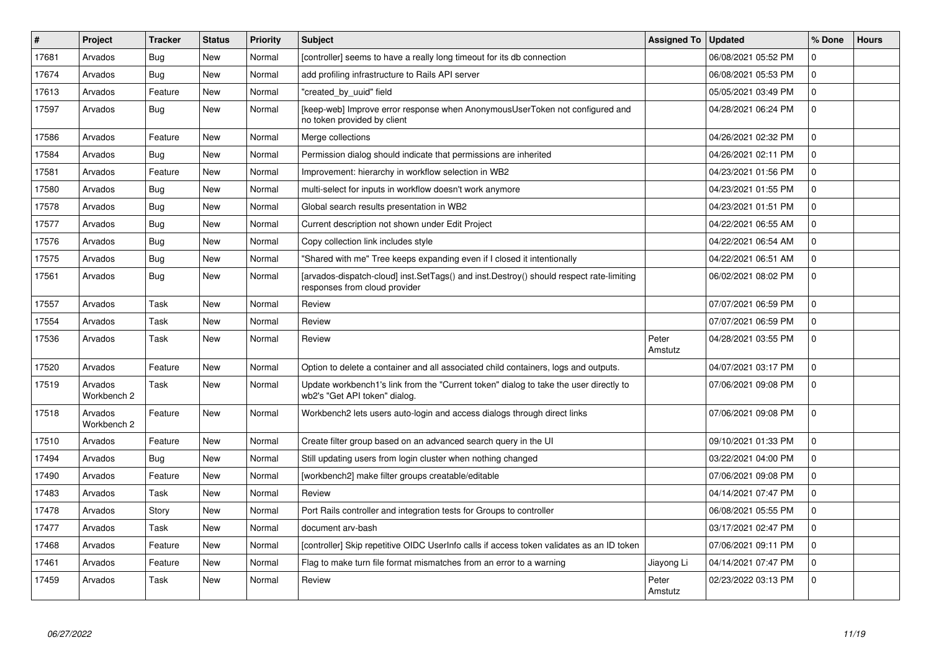| #     | <b>Project</b>         | <b>Tracker</b> | <b>Status</b> | <b>Priority</b> | <b>Subject</b>                                                                                                           | <b>Assigned To</b> | <b>Updated</b>      | % Done       | <b>Hours</b> |
|-------|------------------------|----------------|---------------|-----------------|--------------------------------------------------------------------------------------------------------------------------|--------------------|---------------------|--------------|--------------|
| 17681 | Arvados                | Bug            | <b>New</b>    | Normal          | [controller] seems to have a really long timeout for its db connection                                                   |                    | 06/08/2021 05:52 PM | $\mathbf 0$  |              |
| 17674 | Arvados                | <b>Bug</b>     | <b>New</b>    | Normal          | add profiling infrastructure to Rails API server                                                                         |                    | 06/08/2021 05:53 PM | $\Omega$     |              |
| 17613 | Arvados                | Feature        | New           | Normal          | 'created by uuid" field                                                                                                  |                    | 05/05/2021 03:49 PM | $\mathbf{0}$ |              |
| 17597 | Arvados                | <b>Bug</b>     | <b>New</b>    | Normal          | [keep-web] Improve error response when AnonymousUserToken not configured and<br>no token provided by client              |                    | 04/28/2021 06:24 PM | $\mathbf 0$  |              |
| 17586 | Arvados                | Feature        | <b>New</b>    | Normal          | Merge collections                                                                                                        |                    | 04/26/2021 02:32 PM | $\Omega$     |              |
| 17584 | Arvados                | <b>Bug</b>     | <b>New</b>    | Normal          | Permission dialog should indicate that permissions are inherited                                                         |                    | 04/26/2021 02:11 PM | $\Omega$     |              |
| 17581 | Arvados                | Feature        | <b>New</b>    | Normal          | Improvement: hierarchy in workflow selection in WB2                                                                      |                    | 04/23/2021 01:56 PM | $\mathbf 0$  |              |
| 17580 | Arvados                | <b>Bug</b>     | <b>New</b>    | Normal          | multi-select for inputs in workflow doesn't work anymore                                                                 |                    | 04/23/2021 01:55 PM | $\mathbf{0}$ |              |
| 17578 | Arvados                | Bug            | <b>New</b>    | Normal          | Global search results presentation in WB2                                                                                |                    | 04/23/2021 01:51 PM | $\mathbf{0}$ |              |
| 17577 | Arvados                | <b>Bug</b>     | <b>New</b>    | Normal          | Current description not shown under Edit Project                                                                         |                    | 04/22/2021 06:55 AM | $\mathbf 0$  |              |
| 17576 | Arvados                | <b>Bug</b>     | <b>New</b>    | Normal          | Copy collection link includes style                                                                                      |                    | 04/22/2021 06:54 AM | $\mathbf 0$  |              |
| 17575 | Arvados                | Bug            | <b>New</b>    | Normal          | "Shared with me" Tree keeps expanding even if I closed it intentionally                                                  |                    | 04/22/2021 06:51 AM | $\mathbf 0$  |              |
| 17561 | Arvados                | <b>Bug</b>     | New           | Normal          | [arvados-dispatch-cloud] inst.SetTags() and inst.Destroy() should respect rate-limiting<br>responses from cloud provider |                    | 06/02/2021 08:02 PM | $\mathbf 0$  |              |
| 17557 | Arvados                | Task           | <b>New</b>    | Normal          | Review                                                                                                                   |                    | 07/07/2021 06:59 PM | $\Omega$     |              |
| 17554 | Arvados                | Task           | <b>New</b>    | Normal          | Review                                                                                                                   |                    | 07/07/2021 06:59 PM | $\Omega$     |              |
| 17536 | Arvados                | Task           | <b>New</b>    | Normal          | Review                                                                                                                   | Peter<br>Amstutz   | 04/28/2021 03:55 PM | $\mathbf 0$  |              |
| 17520 | Arvados                | Feature        | <b>New</b>    | Normal          | Option to delete a container and all associated child containers, logs and outputs.                                      |                    | 04/07/2021 03:17 PM | $\mathbf{0}$ |              |
| 17519 | Arvados<br>Workbench 2 | Task           | <b>New</b>    | Normal          | Update workbench1's link from the "Current token" dialog to take the user directly to<br>wb2's "Get API token" dialog.   |                    | 07/06/2021 09:08 PM | $\mathbf 0$  |              |
| 17518 | Arvados<br>Workbench 2 | Feature        | New           | Normal          | Workbench2 lets users auto-login and access dialogs through direct links                                                 |                    | 07/06/2021 09:08 PM | $\mathbf 0$  |              |
| 17510 | Arvados                | Feature        | <b>New</b>    | Normal          | Create filter group based on an advanced search query in the UI                                                          |                    | 09/10/2021 01:33 PM | $\mathbf{0}$ |              |
| 17494 | Arvados                | <b>Bug</b>     | <b>New</b>    | Normal          | Still updating users from login cluster when nothing changed                                                             |                    | 03/22/2021 04:00 PM | $\mathbf 0$  |              |
| 17490 | Arvados                | Feature        | <b>New</b>    | Normal          | [workbench2] make filter groups creatable/editable                                                                       |                    | 07/06/2021 09:08 PM | $\mathbf 0$  |              |
| 17483 | Arvados                | Task           | <b>New</b>    | Normal          | Review                                                                                                                   |                    | 04/14/2021 07:47 PM | $\mathbf 0$  |              |
| 17478 | Arvados                | Story          | <b>New</b>    | Normal          | Port Rails controller and integration tests for Groups to controller                                                     |                    | 06/08/2021 05:55 PM | $\mathbf{0}$ |              |
| 17477 | Arvados                | Task           | <b>New</b>    | Normal          | document arv-bash                                                                                                        |                    | 03/17/2021 02:47 PM | $\mathbf{0}$ |              |
| 17468 | Arvados                | Feature        | <b>New</b>    | Normal          | [controller] Skip repetitive OIDC UserInfo calls if access token validates as an ID token                                |                    | 07/06/2021 09:11 PM | $\mathbf{0}$ |              |
| 17461 | Arvados                | Feature        | <b>New</b>    | Normal          | Flag to make turn file format mismatches from an error to a warning                                                      | Jiayong Li         | 04/14/2021 07:47 PM | $\mathbf{0}$ |              |
| 17459 | Arvados                | Task           | <b>New</b>    | Normal          | Review                                                                                                                   | Peter<br>Amstutz   | 02/23/2022 03:13 PM | $\Omega$     |              |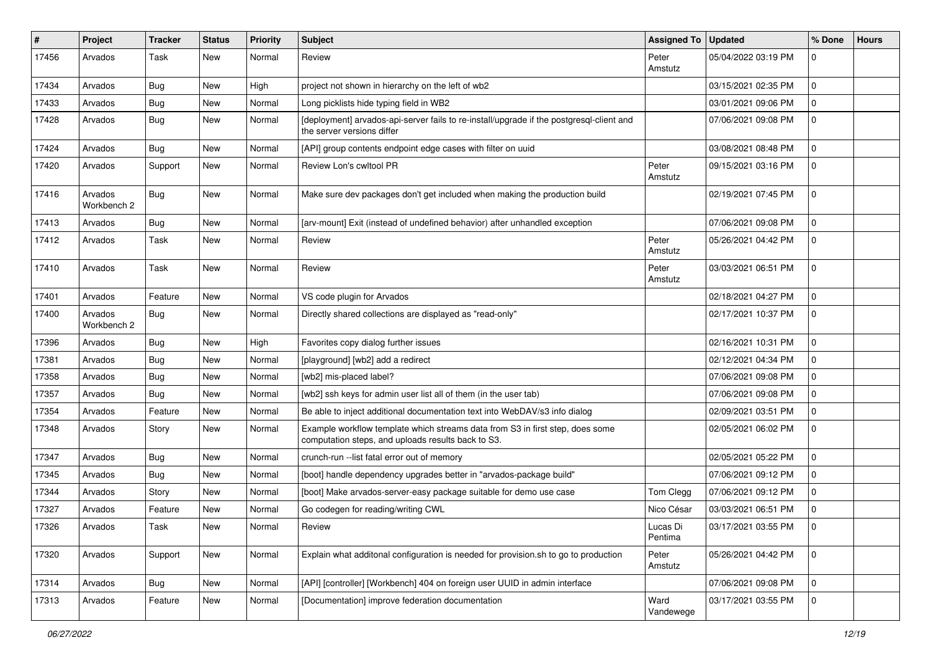| #     | Project                | <b>Tracker</b> | <b>Status</b> | <b>Priority</b> | <b>Subject</b>                                                                                                                      | Assigned To   Updated |                     | % Done       | <b>Hours</b> |
|-------|------------------------|----------------|---------------|-----------------|-------------------------------------------------------------------------------------------------------------------------------------|-----------------------|---------------------|--------------|--------------|
| 17456 | Arvados                | Task           | <b>New</b>    | Normal          | Review                                                                                                                              | Peter<br>Amstutz      | 05/04/2022 03:19 PM | $\mathbf 0$  |              |
| 17434 | Arvados                | <b>Bug</b>     | <b>New</b>    | High            | project not shown in hierarchy on the left of wb2                                                                                   |                       | 03/15/2021 02:35 PM | 0            |              |
| 17433 | Arvados                | <b>Bug</b>     | New           | Normal          | Long picklists hide typing field in WB2                                                                                             |                       | 03/01/2021 09:06 PM | 0            |              |
| 17428 | Arvados                | <b>Bug</b>     | New           | Normal          | [deployment] arvados-api-server fails to re-install/upgrade if the postgresql-client and<br>the server versions differ              |                       | 07/06/2021 09:08 PM | 0            |              |
| 17424 | Arvados                | <b>Bug</b>     | <b>New</b>    | Normal          | [API] group contents endpoint edge cases with filter on uuid                                                                        |                       | 03/08/2021 08:48 PM | $\mathbf 0$  |              |
| 17420 | Arvados                | Support        | New           | Normal          | Review Lon's cwltool PR                                                                                                             | Peter<br>Amstutz      | 09/15/2021 03:16 PM | 0            |              |
| 17416 | Arvados<br>Workbench 2 | <b>Bug</b>     | New           | Normal          | Make sure dev packages don't get included when making the production build                                                          |                       | 02/19/2021 07:45 PM | 0            |              |
| 17413 | Arvados                | <b>Bug</b>     | New           | Normal          | [arv-mount] Exit (instead of undefined behavior) after unhandled exception                                                          |                       | 07/06/2021 09:08 PM | 0            |              |
| 17412 | Arvados                | Task           | <b>New</b>    | Normal          | Review                                                                                                                              | Peter<br>Amstutz      | 05/26/2021 04:42 PM | 0            |              |
| 17410 | Arvados                | Task           | <b>New</b>    | Normal          | Review                                                                                                                              | Peter<br>Amstutz      | 03/03/2021 06:51 PM | $\mathbf{0}$ |              |
| 17401 | Arvados                | Feature        | New           | Normal          | VS code plugin for Arvados                                                                                                          |                       | 02/18/2021 04:27 PM | $\mathbf 0$  |              |
| 17400 | Arvados<br>Workbench 2 | Bug            | New           | Normal          | Directly shared collections are displayed as "read-only"                                                                            |                       | 02/17/2021 10:37 PM | $\mathbf 0$  |              |
| 17396 | Arvados                | <b>Bug</b>     | New           | High            | Favorites copy dialog further issues                                                                                                |                       | 02/16/2021 10:31 PM | 0            |              |
| 17381 | Arvados                | <b>Bug</b>     | New           | Normal          | [playground] [wb2] add a redirect                                                                                                   |                       | 02/12/2021 04:34 PM | 0            |              |
| 17358 | Arvados                | <b>Bug</b>     | <b>New</b>    | Normal          | [wb2] mis-placed label?                                                                                                             |                       | 07/06/2021 09:08 PM | 0            |              |
| 17357 | Arvados                | <b>Bug</b>     | New           | Normal          | [wb2] ssh keys for admin user list all of them (in the user tab)                                                                    |                       | 07/06/2021 09:08 PM | 0            |              |
| 17354 | Arvados                | Feature        | New           | Normal          | Be able to inject additional documentation text into WebDAV/s3 info dialog                                                          |                       | 02/09/2021 03:51 PM | 0            |              |
| 17348 | Arvados                | Story          | New           | Normal          | Example workflow template which streams data from S3 in first step, does some<br>computation steps, and uploads results back to S3. |                       | 02/05/2021 06:02 PM | 0            |              |
| 17347 | Arvados                | Bug            | New           | Normal          | crunch-run -- list fatal error out of memory                                                                                        |                       | 02/05/2021 05:22 PM | $\mathbf 0$  |              |
| 17345 | Arvados                | <b>Bug</b>     | New           | Normal          | [boot] handle dependency upgrades better in "arvados-package build"                                                                 |                       | 07/06/2021 09:12 PM | 0            |              |
| 17344 | Arvados                | Story          | New           | Normal          | [boot] Make arvados-server-easy package suitable for demo use case                                                                  | Tom Clegg             | 07/06/2021 09:12 PM | 0            |              |
| 17327 | Arvados                | Feature        | New           | Normal          | Go codegen for reading/writing CWL                                                                                                  | Nico César            | 03/03/2021 06:51 PM | 0            |              |
| 17326 | Arvados                | Task           | New           | Normal          | Review                                                                                                                              | Lucas Di<br>Pentima   | 03/17/2021 03:55 PM |              |              |
| 17320 | Arvados                | Support        | New           | Normal          | Explain what additonal configuration is needed for provision.sh to go to production                                                 | Peter<br>Amstutz      | 05/26/2021 04:42 PM | 0            |              |
| 17314 | Arvados                | Bug            | New           | Normal          | [API] [controller] [Workbench] 404 on foreign user UUID in admin interface                                                          |                       | 07/06/2021 09:08 PM | $\mathbf 0$  |              |
| 17313 | Arvados                | Feature        | New           | Normal          | [Documentation] improve federation documentation                                                                                    | Ward<br>Vandewege     | 03/17/2021 03:55 PM | $\mathbf 0$  |              |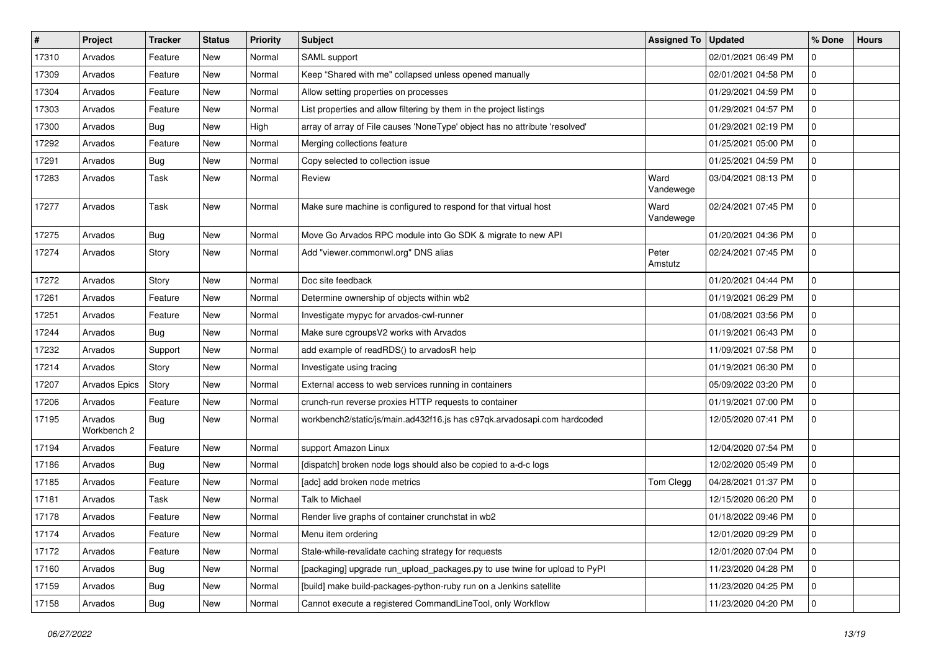| $\#$  | Project                | <b>Tracker</b> | <b>Status</b> | <b>Priority</b> | Subject                                                                     | <b>Assigned To</b> | <b>Updated</b>      | % Done              | <b>Hours</b> |
|-------|------------------------|----------------|---------------|-----------------|-----------------------------------------------------------------------------|--------------------|---------------------|---------------------|--------------|
| 17310 | Arvados                | Feature        | <b>New</b>    | Normal          | SAML support                                                                |                    | 02/01/2021 06:49 PM | 0                   |              |
| 17309 | Arvados                | Feature        | <b>New</b>    | Normal          | Keep "Shared with me" collapsed unless opened manually                      |                    | 02/01/2021 04:58 PM | 0                   |              |
| 17304 | Arvados                | Feature        | <b>New</b>    | Normal          | Allow setting properties on processes                                       |                    | 01/29/2021 04:59 PM | 0                   |              |
| 17303 | Arvados                | Feature        | <b>New</b>    | Normal          | List properties and allow filtering by them in the project listings         |                    | 01/29/2021 04:57 PM | $\mathsf{O}\xspace$ |              |
| 17300 | Arvados                | <b>Bug</b>     | <b>New</b>    | High            | array of array of File causes 'NoneType' object has no attribute 'resolved' |                    | 01/29/2021 02:19 PM | 0                   |              |
| 17292 | Arvados                | Feature        | <b>New</b>    | Normal          | Merging collections feature                                                 |                    | 01/25/2021 05:00 PM | 0                   |              |
| 17291 | Arvados                | <b>Bug</b>     | <b>New</b>    | Normal          | Copy selected to collection issue                                           |                    | 01/25/2021 04:59 PM | $\mathbf 0$         |              |
| 17283 | Arvados                | Task           | New           | Normal          | Review                                                                      | Ward<br>Vandewege  | 03/04/2021 08:13 PM | $\mathbf 0$         |              |
| 17277 | Arvados                | Task           | <b>New</b>    | Normal          | Make sure machine is configured to respond for that virtual host            | Ward<br>Vandewege  | 02/24/2021 07:45 PM | $\mathbf 0$         |              |
| 17275 | Arvados                | Bug            | <b>New</b>    | Normal          | Move Go Arvados RPC module into Go SDK & migrate to new API                 |                    | 01/20/2021 04:36 PM | $\mathsf{O}\xspace$ |              |
| 17274 | Arvados                | Story          | <b>New</b>    | Normal          | Add "viewer.commonwl.org" DNS alias                                         | Peter<br>Amstutz   | 02/24/2021 07:45 PM | 0                   |              |
| 17272 | Arvados                | Story          | <b>New</b>    | Normal          | Doc site feedback                                                           |                    | 01/20/2021 04:44 PM | $\mathbf{0}$        |              |
| 17261 | Arvados                | Feature        | New           | Normal          | Determine ownership of objects within wb2                                   |                    | 01/19/2021 06:29 PM | $\mathbf 0$         |              |
| 17251 | Arvados                | Feature        | <b>New</b>    | Normal          | Investigate mypyc for arvados-cwl-runner                                    |                    | 01/08/2021 03:56 PM | 0                   |              |
| 17244 | Arvados                | Bug            | <b>New</b>    | Normal          | Make sure cgroupsV2 works with Arvados                                      |                    | 01/19/2021 06:43 PM | 0                   |              |
| 17232 | Arvados                | Support        | <b>New</b>    | Normal          | add example of readRDS() to arvadosR help                                   |                    | 11/09/2021 07:58 PM | 0                   |              |
| 17214 | Arvados                | Story          | <b>New</b>    | Normal          | Investigate using tracing                                                   |                    | 01/19/2021 06:30 PM | 0                   |              |
| 17207 | <b>Arvados Epics</b>   | Story          | <b>New</b>    | Normal          | External access to web services running in containers                       |                    | 05/09/2022 03:20 PM | $\mathbf 0$         |              |
| 17206 | Arvados                | Feature        | <b>New</b>    | Normal          | crunch-run reverse proxies HTTP requests to container                       |                    | 01/19/2021 07:00 PM | 0                   |              |
| 17195 | Arvados<br>Workbench 2 | <b>Bug</b>     | New           | Normal          | workbench2/static/js/main.ad432f16.js has c97qk.arvadosapi.com hardcoded    |                    | 12/05/2020 07:41 PM | 0                   |              |
| 17194 | Arvados                | Feature        | <b>New</b>    | Normal          | support Amazon Linux                                                        |                    | 12/04/2020 07:54 PM | $\mathbf 0$         |              |
| 17186 | Arvados                | Bug            | <b>New</b>    | Normal          | [dispatch] broken node logs should also be copied to a-d-c logs             |                    | 12/02/2020 05:49 PM | 0                   |              |
| 17185 | Arvados                | Feature        | <b>New</b>    | Normal          | [adc] add broken node metrics                                               | Tom Clegg          | 04/28/2021 01:37 PM | 0                   |              |
| 17181 | Arvados                | Task           | <b>New</b>    | Normal          | <b>Talk to Michael</b>                                                      |                    | 12/15/2020 06:20 PM | 0                   |              |
| 17178 | Arvados                | Feature        | <b>New</b>    | Normal          | Render live graphs of container crunchstat in wb2                           |                    | 01/18/2022 09:46 PM | $\mathbf 0$         |              |
| 17174 | Arvados                | Feature        | New           | Normal          | Menu item ordering                                                          |                    | 12/01/2020 09:29 PM | $\mathbf 0$         |              |
| 17172 | Arvados                | Feature        | <b>New</b>    | Normal          | Stale-while-revalidate caching strategy for requests                        |                    | 12/01/2020 07:04 PM | $\mathbf 0$         |              |
| 17160 | Arvados                | <b>Bug</b>     | <b>New</b>    | Normal          | [packaging] upgrade run_upload_packages.py to use twine for upload to PyPI  |                    | 11/23/2020 04:28 PM | $\mathbf 0$         |              |
| 17159 | Arvados                | <b>Bug</b>     | New           | Normal          | [build] make build-packages-python-ruby run on a Jenkins satellite          |                    | 11/23/2020 04:25 PM | $\mathbf 0$         |              |
| 17158 | Arvados                | <b>Bug</b>     | New           | Normal          | Cannot execute a registered CommandLineTool, only Workflow                  |                    | 11/23/2020 04:20 PM | $\mathbf 0$         |              |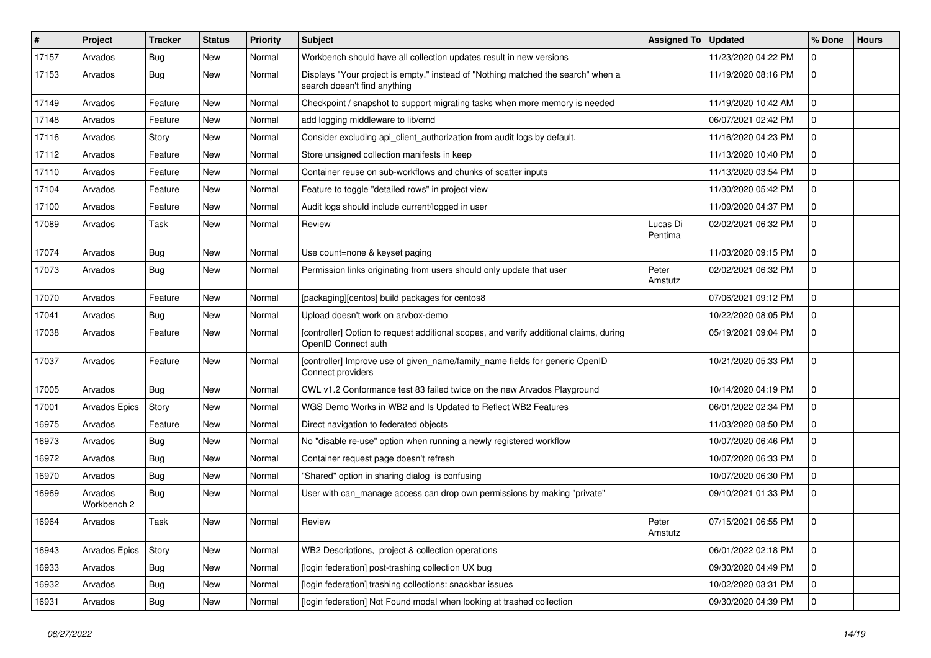| #     | Project                | <b>Tracker</b> | <b>Status</b> | <b>Priority</b> | <b>Subject</b>                                                                                                   | <b>Assigned To</b>  | <b>Updated</b>      | % Done      | <b>Hours</b> |
|-------|------------------------|----------------|---------------|-----------------|------------------------------------------------------------------------------------------------------------------|---------------------|---------------------|-------------|--------------|
| 17157 | Arvados                | <b>Bug</b>     | <b>New</b>    | Normal          | Workbench should have all collection updates result in new versions                                              |                     | 11/23/2020 04:22 PM | 0           |              |
| 17153 | Arvados                | Bug            | <b>New</b>    | Normal          | Displays "Your project is empty." instead of "Nothing matched the search" when a<br>search doesn't find anything |                     | 11/19/2020 08:16 PM | $\mathbf 0$ |              |
| 17149 | Arvados                | Feature        | <b>New</b>    | Normal          | Checkpoint / snapshot to support migrating tasks when more memory is needed                                      |                     | 11/19/2020 10:42 AM | $\mathbf 0$ |              |
| 17148 | Arvados                | Feature        | <b>New</b>    | Normal          | add logging middleware to lib/cmd                                                                                |                     | 06/07/2021 02:42 PM | $\mathbf 0$ |              |
| 17116 | Arvados                | Story          | <b>New</b>    | Normal          | Consider excluding api_client_authorization from audit logs by default.                                          |                     | 11/16/2020 04:23 PM | $\mathbf 0$ |              |
| 17112 | Arvados                | Feature        | <b>New</b>    | Normal          | Store unsigned collection manifests in keep                                                                      |                     | 11/13/2020 10:40 PM | $\mathbf 0$ |              |
| 17110 | Arvados                | Feature        | <b>New</b>    | Normal          | Container reuse on sub-workflows and chunks of scatter inputs                                                    |                     | 11/13/2020 03:54 PM | $\mathbf 0$ |              |
| 17104 | Arvados                | Feature        | <b>New</b>    | Normal          | Feature to toggle "detailed rows" in project view                                                                |                     | 11/30/2020 05:42 PM | $\mathbf 0$ |              |
| 17100 | Arvados                | Feature        | <b>New</b>    | Normal          | Audit logs should include current/logged in user                                                                 |                     | 11/09/2020 04:37 PM | 0           |              |
| 17089 | Arvados                | Task           | <b>New</b>    | Normal          | Review                                                                                                           | Lucas Di<br>Pentima | 02/02/2021 06:32 PM | $\mathbf 0$ |              |
| 17074 | Arvados                | Bug            | <b>New</b>    | Normal          | Use count=none & keyset paging                                                                                   |                     | 11/03/2020 09:15 PM | $\mathbf 0$ |              |
| 17073 | Arvados                | <b>Bug</b>     | <b>New</b>    | Normal          | Permission links originating from users should only update that user                                             | Peter<br>Amstutz    | 02/02/2021 06:32 PM | $\mathbf 0$ |              |
| 17070 | Arvados                | Feature        | <b>New</b>    | Normal          | [packaging][centos] build packages for centos8                                                                   |                     | 07/06/2021 09:12 PM | 0           |              |
| 17041 | Arvados                | <b>Bug</b>     | <b>New</b>    | Normal          | Upload doesn't work on arvbox-demo                                                                               |                     | 10/22/2020 08:05 PM | 0           |              |
| 17038 | Arvados                | Feature        | <b>New</b>    | Normal          | [controller] Option to request additional scopes, and verify additional claims, during<br>OpenID Connect auth    |                     | 05/19/2021 09:04 PM | $\mathbf 0$ |              |
| 17037 | Arvados                | Feature        | <b>New</b>    | Normal          | [controller] Improve use of given_name/family_name fields for generic OpenID<br>Connect providers                |                     | 10/21/2020 05:33 PM | $\mathbf 0$ |              |
| 17005 | Arvados                | Bug            | <b>New</b>    | Normal          | CWL v1.2 Conformance test 83 failed twice on the new Arvados Playground                                          |                     | 10/14/2020 04:19 PM | $\mathbf 0$ |              |
| 17001 | Arvados Epics          | Story          | <b>New</b>    | Normal          | WGS Demo Works in WB2 and Is Updated to Reflect WB2 Features                                                     |                     | 06/01/2022 02:34 PM | $\mathbf 0$ |              |
| 16975 | Arvados                | Feature        | <b>New</b>    | Normal          | Direct navigation to federated objects                                                                           |                     | 11/03/2020 08:50 PM | 0           |              |
| 16973 | Arvados                | <b>Bug</b>     | <b>New</b>    | Normal          | No "disable re-use" option when running a newly registered workflow                                              |                     | 10/07/2020 06:46 PM | $\mathbf 0$ |              |
| 16972 | Arvados                | Bug            | <b>New</b>    | Normal          | Container request page doesn't refresh                                                                           |                     | 10/07/2020 06:33 PM | $\mathbf 0$ |              |
| 16970 | Arvados                | <b>Bug</b>     | <b>New</b>    | Normal          | "Shared" option in sharing dialog is confusing                                                                   |                     | 10/07/2020 06:30 PM | $\mathbf 0$ |              |
| 16969 | Arvados<br>Workbench 2 | Bug            | New           | Normal          | User with can manage access can drop own permissions by making "private"                                         |                     | 09/10/2021 01:33 PM | $\mathbf 0$ |              |
| 16964 | Arvados                | Task           | <b>New</b>    | Normal          | Review                                                                                                           | Peter<br>Amstutz    | 07/15/2021 06:55 PM | $\mathbf 0$ |              |
| 16943 | Arvados Epics          | Story          | New           | Normal          | WB2 Descriptions, project & collection operations                                                                |                     | 06/01/2022 02:18 PM | $\mathbf 0$ |              |
| 16933 | Arvados                | <b>Bug</b>     | New           | Normal          | [login federation] post-trashing collection UX bug                                                               |                     | 09/30/2020 04:49 PM | $\mathbf 0$ |              |
| 16932 | Arvados                | Bug            | New           | Normal          | [login federation] trashing collections: snackbar issues                                                         |                     | 10/02/2020 03:31 PM | $\mathbf 0$ |              |
| 16931 | Arvados                | <b>Bug</b>     | New           | Normal          | [login federation] Not Found modal when looking at trashed collection                                            |                     | 09/30/2020 04:39 PM | $\mathsf 0$ |              |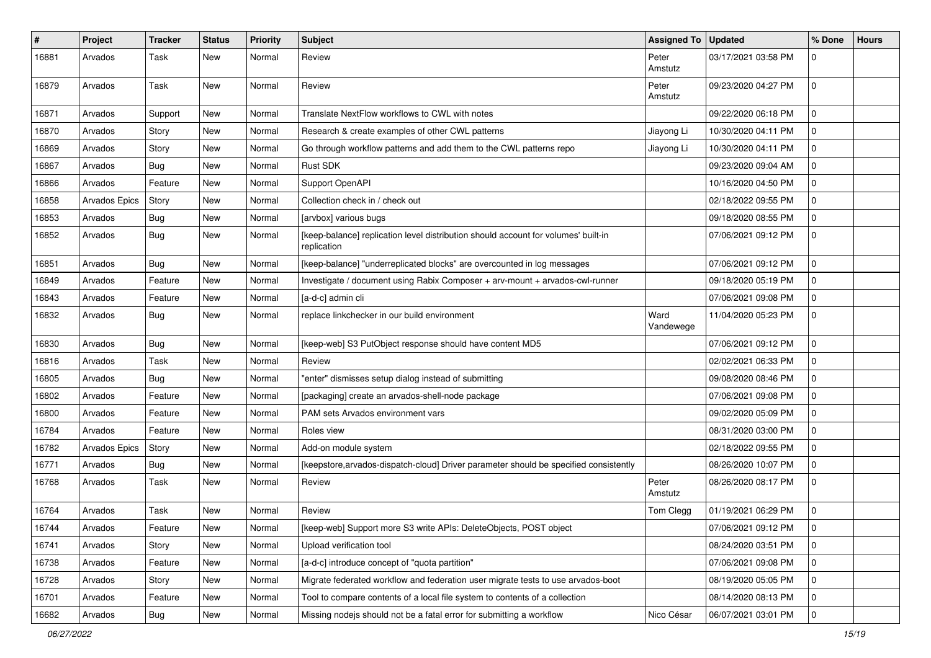| #     | Project       | <b>Tracker</b> | <b>Status</b> | <b>Priority</b> | <b>Subject</b>                                                                                    | Assigned To   Updated |                     | % Done      | <b>Hours</b> |
|-------|---------------|----------------|---------------|-----------------|---------------------------------------------------------------------------------------------------|-----------------------|---------------------|-------------|--------------|
| 16881 | Arvados       | Task           | <b>New</b>    | Normal          | Review                                                                                            | Peter<br>Amstutz      | 03/17/2021 03:58 PM | 0           |              |
| 16879 | Arvados       | Task           | <b>New</b>    | Normal          | Review                                                                                            | Peter<br>Amstutz      | 09/23/2020 04:27 PM | $\mathbf 0$ |              |
| 16871 | Arvados       | Support        | New           | Normal          | Translate NextFlow workflows to CWL with notes                                                    |                       | 09/22/2020 06:18 PM | 0           |              |
| 16870 | Arvados       | Story          | New           | Normal          | Research & create examples of other CWL patterns                                                  | Jiayong Li            | 10/30/2020 04:11 PM | 0           |              |
| 16869 | Arvados       | Story          | <b>New</b>    | Normal          | Go through workflow patterns and add them to the CWL patterns repo                                | Jiayong Li            | 10/30/2020 04:11 PM | 0           |              |
| 16867 | Arvados       | <b>Bug</b>     | New           | Normal          | Rust SDK                                                                                          |                       | 09/23/2020 09:04 AM | 0           |              |
| 16866 | Arvados       | Feature        | New           | Normal          | Support OpenAPI                                                                                   |                       | 10/16/2020 04:50 PM | $\mathbf 0$ |              |
| 16858 | Arvados Epics | Story          | New           | Normal          | Collection check in / check out                                                                   |                       | 02/18/2022 09:55 PM | 0           |              |
| 16853 | Arvados       | <b>Bug</b>     | New           | Normal          | [arvbox] various bugs                                                                             |                       | 09/18/2020 08:55 PM | $\mathbf 0$ |              |
| 16852 | Arvados       | <b>Bug</b>     | New           | Normal          | [keep-balance] replication level distribution should account for volumes' built-in<br>replication |                       | 07/06/2021 09:12 PM | 0           |              |
| 16851 | Arvados       | <b>Bug</b>     | New           | Normal          | [keep-balance] "underreplicated blocks" are overcounted in log messages                           |                       | 07/06/2021 09:12 PM | 0           |              |
| 16849 | Arvados       | Feature        | <b>New</b>    | Normal          | Investigate / document using Rabix Composer + arv-mount + arvados-cwl-runner                      |                       | 09/18/2020 05:19 PM | 0           |              |
| 16843 | Arvados       | Feature        | New           | Normal          | [a-d-c] admin cli                                                                                 |                       | 07/06/2021 09:08 PM | 0           |              |
| 16832 | Arvados       | <b>Bug</b>     | New           | Normal          | replace linkchecker in our build environment                                                      | Ward<br>Vandewege     | 11/04/2020 05:23 PM | 0           |              |
| 16830 | Arvados       | <b>Bug</b>     | <b>New</b>    | Normal          | [keep-web] S3 PutObject response should have content MD5                                          |                       | 07/06/2021 09:12 PM | $\mathbf 0$ |              |
| 16816 | Arvados       | Task           | New           | Normal          | Review                                                                                            |                       | 02/02/2021 06:33 PM | $\mathbf 0$ |              |
| 16805 | Arvados       | <b>Bug</b>     | New           | Normal          | enter" dismisses setup dialog instead of submitting                                               |                       | 09/08/2020 08:46 PM | 0           |              |
| 16802 | Arvados       | Feature        | New           | Normal          | [packaging] create an arvados-shell-node package                                                  |                       | 07/06/2021 09:08 PM | 0           |              |
| 16800 | Arvados       | Feature        | New           | Normal          | PAM sets Arvados environment vars                                                                 |                       | 09/02/2020 05:09 PM | 0           |              |
| 16784 | Arvados       | Feature        | New           | Normal          | Roles view                                                                                        |                       | 08/31/2020 03:00 PM | 0           |              |
| 16782 | Arvados Epics | Story          | New           | Normal          | Add-on module system                                                                              |                       | 02/18/2022 09:55 PM | 0           |              |
| 16771 | Arvados       | <b>Bug</b>     | New           | Normal          | [keepstore, arvados-dispatch-cloud] Driver parameter should be specified consistently             |                       | 08/26/2020 10:07 PM | 0           |              |
| 16768 | Arvados       | Task           | New           | Normal          | Review                                                                                            | Peter<br>Amstutz      | 08/26/2020 08:17 PM | 0           |              |
| 16764 | Arvados       | Task           | New           | Normal          | Review                                                                                            | Tom Clegg             | 01/19/2021 06:29 PM | 0           |              |
| 16744 | Arvados       | Feature        | New           | Normal          | [keep-web] Support more S3 write APIs: DeleteObjects, POST object                                 |                       | 07/06/2021 09:12 PM |             |              |
| 16741 | Arvados       | Story          | New           | Normal          | Upload verification tool                                                                          |                       | 08/24/2020 03:51 PM | 0           |              |
| 16738 | Arvados       | Feature        | New           | Normal          | [a-d-c] introduce concept of "quota partition"                                                    |                       | 07/06/2021 09:08 PM | $\mathbf 0$ |              |
| 16728 | Arvados       | Story          | New           | Normal          | Migrate federated workflow and federation user migrate tests to use arvados-boot                  |                       | 08/19/2020 05:05 PM | $\mathbf 0$ |              |
| 16701 | Arvados       | Feature        | New           | Normal          | Tool to compare contents of a local file system to contents of a collection                       |                       | 08/14/2020 08:13 PM | 0           |              |
| 16682 | Arvados       | Bug            | New           | Normal          | Missing nodejs should not be a fatal error for submitting a workflow                              | Nico César            | 06/07/2021 03:01 PM | 0           |              |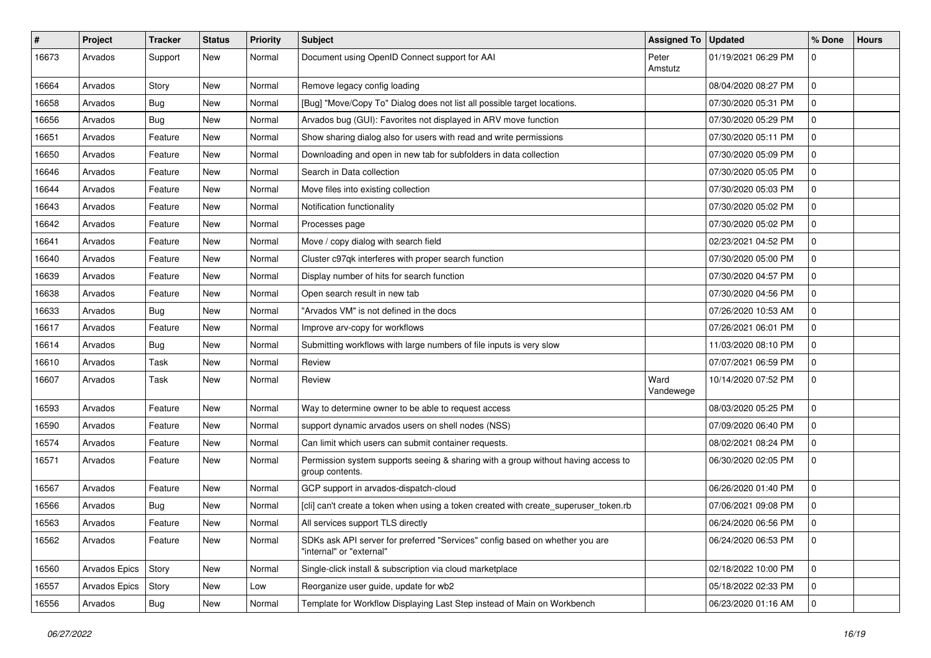| #     | Project       | <b>Tracker</b> | <b>Status</b> | <b>Priority</b> | Subject                                                                                                  | Assigned To       | <b>Updated</b>      | % Done      | <b>Hours</b> |
|-------|---------------|----------------|---------------|-----------------|----------------------------------------------------------------------------------------------------------|-------------------|---------------------|-------------|--------------|
| 16673 | Arvados       | Support        | New           | Normal          | Document using OpenID Connect support for AAI                                                            | Peter<br>Amstutz  | 01/19/2021 06:29 PM | 0           |              |
| 16664 | Arvados       | Story          | New           | Normal          | Remove legacy config loading                                                                             |                   | 08/04/2020 08:27 PM | $\mathbf 0$ |              |
| 16658 | Arvados       | Bug            | New           | Normal          | [Bug] "Move/Copy To" Dialog does not list all possible target locations.                                 |                   | 07/30/2020 05:31 PM | $\mathbf 0$ |              |
| 16656 | Arvados       | <b>Bug</b>     | <b>New</b>    | Normal          | Arvados bug (GUI): Favorites not displayed in ARV move function                                          |                   | 07/30/2020 05:29 PM | 0           |              |
| 16651 | Arvados       | Feature        | <b>New</b>    | Normal          | Show sharing dialog also for users with read and write permissions                                       |                   | 07/30/2020 05:11 PM | $\mathbf 0$ |              |
| 16650 | Arvados       | Feature        | <b>New</b>    | Normal          | Downloading and open in new tab for subfolders in data collection                                        |                   | 07/30/2020 05:09 PM | $\mathbf 0$ |              |
| 16646 | Arvados       | Feature        | New           | Normal          | Search in Data collection                                                                                |                   | 07/30/2020 05:05 PM | $\mathbf 0$ |              |
| 16644 | Arvados       | Feature        | New           | Normal          | Move files into existing collection                                                                      |                   | 07/30/2020 05:03 PM | $\mathbf 0$ |              |
| 16643 | Arvados       | Feature        | <b>New</b>    | Normal          | Notification functionality                                                                               |                   | 07/30/2020 05:02 PM | $\mathbf 0$ |              |
| 16642 | Arvados       | Feature        | <b>New</b>    | Normal          | Processes page                                                                                           |                   | 07/30/2020 05:02 PM | $\mathbf 0$ |              |
| 16641 | Arvados       | Feature        | <b>New</b>    | Normal          | Move / copy dialog with search field                                                                     |                   | 02/23/2021 04:52 PM | $\mathbf 0$ |              |
| 16640 | Arvados       | Feature        | New           | Normal          | Cluster c97qk interferes with proper search function                                                     |                   | 07/30/2020 05:00 PM | 0           |              |
| 16639 | Arvados       | Feature        | New           | Normal          | Display number of hits for search function                                                               |                   | 07/30/2020 04:57 PM | $\mathbf 0$ |              |
| 16638 | Arvados       | Feature        | <b>New</b>    | Normal          | Open search result in new tab                                                                            |                   | 07/30/2020 04:56 PM | 0           |              |
| 16633 | Arvados       | Bug            | <b>New</b>    | Normal          | 'Arvados VM" is not defined in the docs                                                                  |                   | 07/26/2020 10:53 AM | $\mathbf 0$ |              |
| 16617 | Arvados       | Feature        | New           | Normal          | Improve arv-copy for workflows                                                                           |                   | 07/26/2021 06:01 PM | $\mathbf 0$ |              |
| 16614 | Arvados       | <b>Bug</b>     | <b>New</b>    | Normal          | Submitting workflows with large numbers of file inputs is very slow                                      |                   | 11/03/2020 08:10 PM | $\mathbf 0$ |              |
| 16610 | Arvados       | Task           | New           | Normal          | Review                                                                                                   |                   | 07/07/2021 06:59 PM | 0           |              |
| 16607 | Arvados       | Task           | New           | Normal          | Review                                                                                                   | Ward<br>Vandewege | 10/14/2020 07:52 PM | $\mathbf 0$ |              |
| 16593 | Arvados       | Feature        | <b>New</b>    | Normal          | Way to determine owner to be able to request access                                                      |                   | 08/03/2020 05:25 PM | $\mathbf 0$ |              |
| 16590 | Arvados       | Feature        | <b>New</b>    | Normal          | support dynamic arvados users on shell nodes (NSS)                                                       |                   | 07/09/2020 06:40 PM | $\mathbf 0$ |              |
| 16574 | Arvados       | Feature        | New           | Normal          | Can limit which users can submit container requests.                                                     |                   | 08/02/2021 08:24 PM | $\mathbf 0$ |              |
| 16571 | Arvados       | Feature        | New           | Normal          | Permission system supports seeing & sharing with a group without having access to<br>group contents.     |                   | 06/30/2020 02:05 PM | $\mathbf 0$ |              |
| 16567 | Arvados       | Feature        | <b>New</b>    | Normal          | GCP support in arvados-dispatch-cloud                                                                    |                   | 06/26/2020 01:40 PM | $\mathbf 0$ |              |
| 16566 | Arvados       | <b>Bug</b>     | <b>New</b>    | Normal          | [cli] can't create a token when using a token created with create_superuser_token.rb                     |                   | 07/06/2021 09:08 PM | $\mathbf 0$ |              |
| 16563 | Arvados       | Feature        | <b>New</b>    | Normal          | All services support TLS directly                                                                        |                   | 06/24/2020 06:56 PM | $\mathbf 0$ |              |
| 16562 | Arvados       | Feature        | New           | Normal          | SDKs ask API server for preferred "Services" config based on whether you are<br>"internal" or "external" |                   | 06/24/2020 06:53 PM | 0           |              |
| 16560 | Arvados Epics | Story          | New           | Normal          | Single-click install & subscription via cloud marketplace                                                |                   | 02/18/2022 10:00 PM | $\mathbf 0$ |              |
| 16557 | Arvados Epics | Story          | New           | Low             | Reorganize user guide, update for wb2                                                                    |                   | 05/18/2022 02:33 PM | $\mathbf 0$ |              |
| 16556 | Arvados       | <b>Bug</b>     | New           | Normal          | Template for Workflow Displaying Last Step instead of Main on Workbench                                  |                   | 06/23/2020 01:16 AM | 0           |              |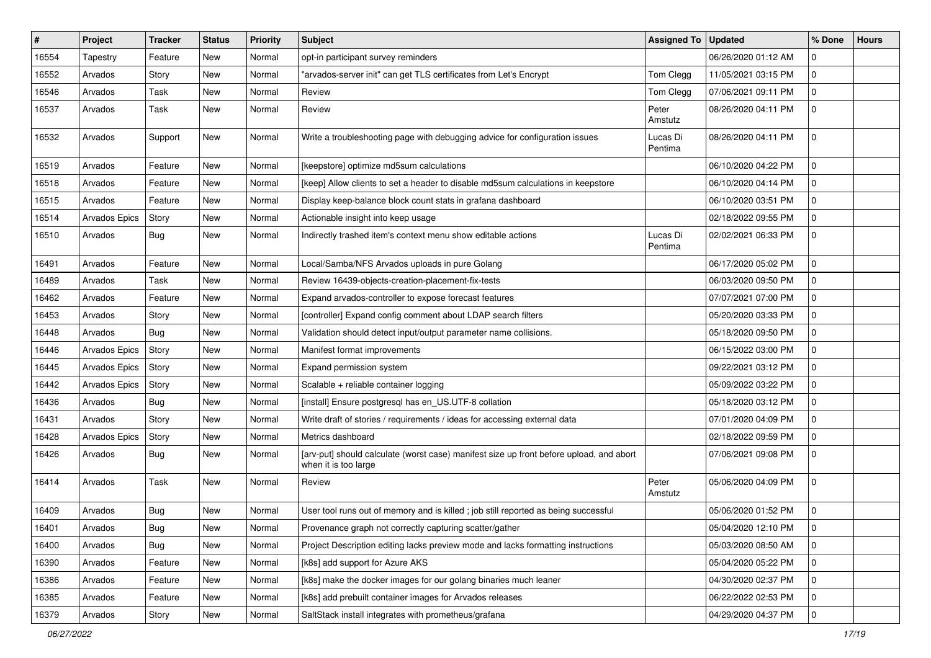| #     | <b>Project</b> | <b>Tracker</b> | <b>Status</b> | <b>Priority</b> | Subject                                                                                                         | <b>Assigned To</b>  | <b>Updated</b>      | % Done      | <b>Hours</b> |
|-------|----------------|----------------|---------------|-----------------|-----------------------------------------------------------------------------------------------------------------|---------------------|---------------------|-------------|--------------|
| 16554 | Tapestry       | Feature        | <b>New</b>    | Normal          | opt-in participant survey reminders                                                                             |                     | 06/26/2020 01:12 AM | 0           |              |
| 16552 | Arvados        | Story          | <b>New</b>    | Normal          | "arvados-server init" can get TLS certificates from Let's Encrypt                                               | Tom Clegg           | 11/05/2021 03:15 PM | 0           |              |
| 16546 | Arvados        | Task           | New           | Normal          | Review                                                                                                          | Tom Clegg           | 07/06/2021 09:11 PM | $\mathbf 0$ |              |
| 16537 | Arvados        | Task           | New           | Normal          | Review                                                                                                          | Peter<br>Amstutz    | 08/26/2020 04:11 PM | 0           |              |
| 16532 | Arvados        | Support        | New           | Normal          | Write a troubleshooting page with debugging advice for configuration issues                                     | Lucas Di<br>Pentima | 08/26/2020 04:11 PM | 0           |              |
| 16519 | Arvados        | Feature        | New           | Normal          | [keepstore] optimize md5sum calculations                                                                        |                     | 06/10/2020 04:22 PM | 0           |              |
| 16518 | Arvados        | Feature        | New           | Normal          | [keep] Allow clients to set a header to disable md5sum calculations in keepstore                                |                     | 06/10/2020 04:14 PM | $\mathbf 0$ |              |
| 16515 | Arvados        | Feature        | New           | Normal          | Display keep-balance block count stats in grafana dashboard                                                     |                     | 06/10/2020 03:51 PM | 0           |              |
| 16514 | Arvados Epics  | Story          | New           | Normal          | Actionable insight into keep usage                                                                              |                     | 02/18/2022 09:55 PM | 0           |              |
| 16510 | Arvados        | Bug            | New           | Normal          | Indirectly trashed item's context menu show editable actions                                                    | Lucas Di<br>Pentima | 02/02/2021 06:33 PM | 0           |              |
| 16491 | Arvados        | Feature        | <b>New</b>    | Normal          | Local/Samba/NFS Arvados uploads in pure Golang                                                                  |                     | 06/17/2020 05:02 PM | 0           |              |
| 16489 | Arvados        | Task           | <b>New</b>    | Normal          | Review 16439-objects-creation-placement-fix-tests                                                               |                     | 06/03/2020 09:50 PM | $\pmb{0}$   |              |
| 16462 | Arvados        | Feature        | New           | Normal          | Expand arvados-controller to expose forecast features                                                           |                     | 07/07/2021 07:00 PM | 0           |              |
| 16453 | Arvados        | Story          | New           | Normal          | [controller] Expand config comment about LDAP search filters                                                    |                     | 05/20/2020 03:33 PM | $\mathbf 0$ |              |
| 16448 | Arvados        | <b>Bug</b>     | <b>New</b>    | Normal          | Validation should detect input/output parameter name collisions.                                                |                     | 05/18/2020 09:50 PM | 0           |              |
| 16446 | Arvados Epics  | Story          | New           | Normal          | Manifest format improvements                                                                                    |                     | 06/15/2022 03:00 PM | 0           |              |
| 16445 | Arvados Epics  | Story          | New           | Normal          | Expand permission system                                                                                        |                     | 09/22/2021 03:12 PM | 0           |              |
| 16442 | Arvados Epics  | Story          | New           | Normal          | Scalable + reliable container logging                                                                           |                     | 05/09/2022 03:22 PM | 0           |              |
| 16436 | Arvados        | <b>Bug</b>     | New           | Normal          | [install] Ensure postgresql has en_US.UTF-8 collation                                                           |                     | 05/18/2020 03:12 PM | 0           |              |
| 16431 | Arvados        | Story          | New           | Normal          | Write draft of stories / requirements / ideas for accessing external data                                       |                     | 07/01/2020 04:09 PM | 0           |              |
| 16428 | Arvados Epics  | Story          | New           | Normal          | Metrics dashboard                                                                                               |                     | 02/18/2022 09:59 PM | 0           |              |
| 16426 | Arvados        | Bug            | New           | Normal          | [arv-put] should calculate (worst case) manifest size up front before upload, and abort<br>when it is too large |                     | 07/06/2021 09:08 PM | 0           |              |
| 16414 | Arvados        | Task           | <b>New</b>    | Normal          | Review                                                                                                          | Peter<br>Amstutz    | 05/06/2020 04:09 PM | 0           |              |
| 16409 | Arvados        | Bug            | <b>New</b>    | Normal          | User tool runs out of memory and is killed; job still reported as being successful                              |                     | 05/06/2020 01:52 PM | 0           |              |
| 16401 | Arvados        | <b>Bug</b>     | New           | Normal          | Provenance graph not correctly capturing scatter/gather                                                         |                     | 05/04/2020 12:10 PM | 0           |              |
| 16400 | Arvados        | <b>Bug</b>     | New           | Normal          | Project Description editing lacks preview mode and lacks formatting instructions                                |                     | 05/03/2020 08:50 AM | 0           |              |
| 16390 | Arvados        | Feature        | New           | Normal          | [k8s] add support for Azure AKS                                                                                 |                     | 05/04/2020 05:22 PM | $\mathbf 0$ |              |
| 16386 | Arvados        | Feature        | New           | Normal          | [k8s] make the docker images for our golang binaries much leaner                                                |                     | 04/30/2020 02:37 PM | 0           |              |
| 16385 | Arvados        | Feature        | New           | Normal          | [k8s] add prebuilt container images for Arvados releases                                                        |                     | 06/22/2022 02:53 PM | 0           |              |
| 16379 | Arvados        | Story          | New           | Normal          | SaltStack install integrates with prometheus/grafana                                                            |                     | 04/29/2020 04:37 PM | 0           |              |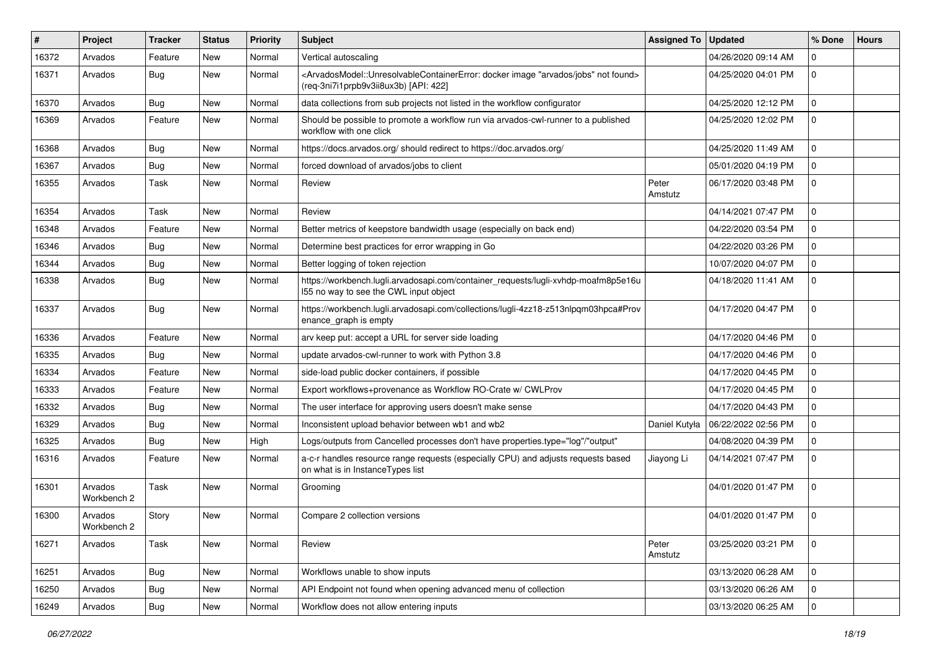| #     | Project                | <b>Tracker</b> | <b>Status</b> | <b>Priority</b> | Subject                                                                                                                                                                                   | <b>Assigned To</b> | <b>Updated</b>      | % Done              | <b>Hours</b> |
|-------|------------------------|----------------|---------------|-----------------|-------------------------------------------------------------------------------------------------------------------------------------------------------------------------------------------|--------------------|---------------------|---------------------|--------------|
| 16372 | Arvados                | Feature        | <b>New</b>    | Normal          | Vertical autoscaling                                                                                                                                                                      |                    | 04/26/2020 09:14 AM | 0                   |              |
| 16371 | Arvados                | <b>Bug</b>     | <b>New</b>    | Normal          | <arvadosmodel::unresolvablecontainererror: "arvados="" docker="" found="" image="" jobs"="" not=""><br/>(req-3ni7i1prpb9v3ii8ux3b) [API: 422]</arvadosmodel::unresolvablecontainererror:> |                    | 04/25/2020 04:01 PM | $\mathbf 0$         |              |
| 16370 | Arvados                | <b>Bug</b>     | <b>New</b>    | Normal          | data collections from sub projects not listed in the workflow configurator                                                                                                                |                    | 04/25/2020 12:12 PM | $\mathbf 0$         |              |
| 16369 | Arvados                | Feature        | <b>New</b>    | Normal          | Should be possible to promote a workflow run via arvados-cwl-runner to a published<br>workflow with one click                                                                             |                    | 04/25/2020 12:02 PM | $\mathbf 0$         |              |
| 16368 | Arvados                | Bug            | <b>New</b>    | Normal          | https://docs.arvados.org/ should redirect to https://doc.arvados.org/                                                                                                                     |                    | 04/25/2020 11:49 AM | $\mathbf 0$         |              |
| 16367 | Arvados                | Bug            | <b>New</b>    | Normal          | forced download of arvados/jobs to client                                                                                                                                                 |                    | 05/01/2020 04:19 PM | $\mathbf 0$         |              |
| 16355 | Arvados                | Task           | <b>New</b>    | Normal          | Review                                                                                                                                                                                    | Peter<br>Amstutz   | 06/17/2020 03:48 PM | $\mathbf 0$         |              |
| 16354 | Arvados                | Task           | <b>New</b>    | Normal          | Review                                                                                                                                                                                    |                    | 04/14/2021 07:47 PM | $\mathbf 0$         |              |
| 16348 | Arvados                | Feature        | New           | Normal          | Better metrics of keepstore bandwidth usage (especially on back end)                                                                                                                      |                    | 04/22/2020 03:54 PM | $\mathbf 0$         |              |
| 16346 | Arvados                | Bug            | <b>New</b>    | Normal          | Determine best practices for error wrapping in Go                                                                                                                                         |                    | 04/22/2020 03:26 PM | $\mathbf 0$         |              |
| 16344 | Arvados                | <b>Bug</b>     | New           | Normal          | Better logging of token rejection                                                                                                                                                         |                    | 10/07/2020 04:07 PM | $\mathbf 0$         |              |
| 16338 | Arvados                | <b>Bug</b>     | New           | Normal          | https://workbench.lugli.arvadosapi.com/container_requests/lugli-xvhdp-moafm8p5e16u<br>155 no way to see the CWL input object                                                              |                    | 04/18/2020 11:41 AM | $\mathbf 0$         |              |
| 16337 | Arvados                | <b>Bug</b>     | New           | Normal          | https://workbench.lugli.arvadosapi.com/collections/lugli-4zz18-z513nlpqm03hpca#Prov<br>enance_graph is empty                                                                              |                    | 04/17/2020 04:47 PM | $\mathbf 0$         |              |
| 16336 | Arvados                | Feature        | New           | Normal          | arv keep put: accept a URL for server side loading                                                                                                                                        |                    | 04/17/2020 04:46 PM | 0                   |              |
| 16335 | Arvados                | <b>Bug</b>     | New           | Normal          | update arvados-cwl-runner to work with Python 3.8                                                                                                                                         |                    | 04/17/2020 04:46 PM | $\mathbf 0$         |              |
| 16334 | Arvados                | Feature        | <b>New</b>    | Normal          | side-load public docker containers, if possible                                                                                                                                           |                    | 04/17/2020 04:45 PM | $\mathbf 0$         |              |
| 16333 | Arvados                | Feature        | New           | Normal          | Export workflows+provenance as Workflow RO-Crate w/ CWLProv                                                                                                                               |                    | 04/17/2020 04:45 PM | $\mathbf 0$         |              |
| 16332 | Arvados                | <b>Bug</b>     | New           | Normal          | The user interface for approving users doesn't make sense                                                                                                                                 |                    | 04/17/2020 04:43 PM | $\mathbf 0$         |              |
| 16329 | Arvados                | Bug            | New           | Normal          | Inconsistent upload behavior between wb1 and wb2                                                                                                                                          | Daniel Kutyła      | 06/22/2022 02:56 PM | 0                   |              |
| 16325 | Arvados                | Bug            | <b>New</b>    | High            | Logs/outputs from Cancelled processes don't have properties.type="log"/"output"                                                                                                           |                    | 04/08/2020 04:39 PM | $\mathbf 0$         |              |
| 16316 | Arvados                | Feature        | <b>New</b>    | Normal          | a-c-r handles resource range requests (especially CPU) and adjusts requests based<br>on what is in InstanceTypes list                                                                     | Jiayong Li         | 04/14/2021 07:47 PM | $\mathbf 0$         |              |
| 16301 | Arvados<br>Workbench 2 | Task           | New           | Normal          | Grooming                                                                                                                                                                                  |                    | 04/01/2020 01:47 PM | $\mathbf 0$         |              |
| 16300 | Arvados<br>Workbench 2 | Story          | New           | Normal          | Compare 2 collection versions                                                                                                                                                             |                    | 04/01/2020 01:47 PM | $\Omega$            |              |
| 16271 | Arvados                | Task           | New           | Normal          | Review                                                                                                                                                                                    | Peter<br>Amstutz   | 03/25/2020 03:21 PM | $\mathbf 0$         |              |
| 16251 | Arvados                | Bug            | New           | Normal          | Workflows unable to show inputs                                                                                                                                                           |                    | 03/13/2020 06:28 AM | $\mathbf 0$         |              |
| 16250 | Arvados                | Bug            | New           | Normal          | API Endpoint not found when opening advanced menu of collection                                                                                                                           |                    | 03/13/2020 06:26 AM | $\mathbf 0$         |              |
| 16249 | Arvados                | <b>Bug</b>     | New           | Normal          | Workflow does not allow entering inputs                                                                                                                                                   |                    | 03/13/2020 06:25 AM | $\mathsf{O}\xspace$ |              |